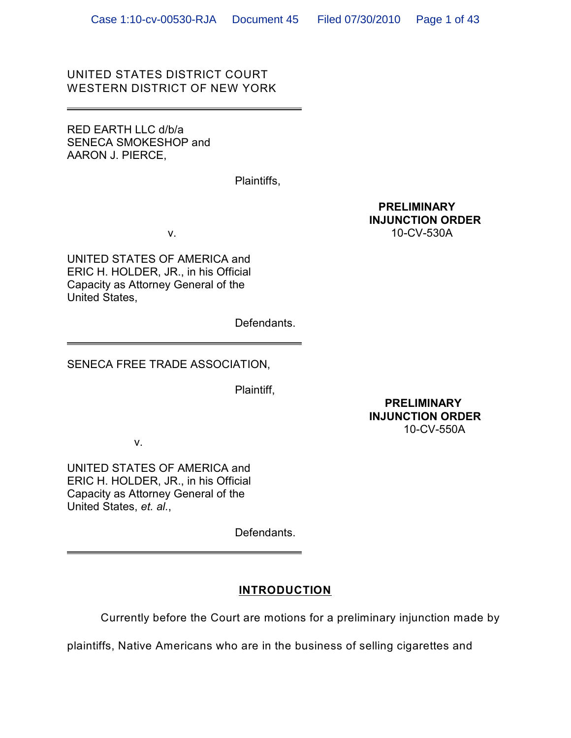# UNITED STATES DISTRICT COURT WESTERN DISTRICT OF NEW YORK

RED EARTH LLC d/b/a SENECA SMOKESHOP and AARON J. PIERCE,

Plaintiffs,

 **PRELIMINARY INJUNCTION ORDER**  v. 10-CV-530A

UNITED STATES OF AMERICA and ERIC H. HOLDER, JR., in his Official Capacity as Attorney General of the United States,

Defendants.

SENECA FREE TRADE ASSOCIATION,

Plaintiff,

 **PRELIMINARY INJUNCTION ORDER**  10-CV-550A

v.

UNITED STATES OF AMERICA and ERIC H. HOLDER, JR., in his Official Capacity as Attorney General of the United States, *et. al.*,

Defendants.

# **INTRODUCTION**

Currently before the Court are motions for a preliminary injunction made by

plaintiffs, Native Americans who are in the business of selling cigarettes and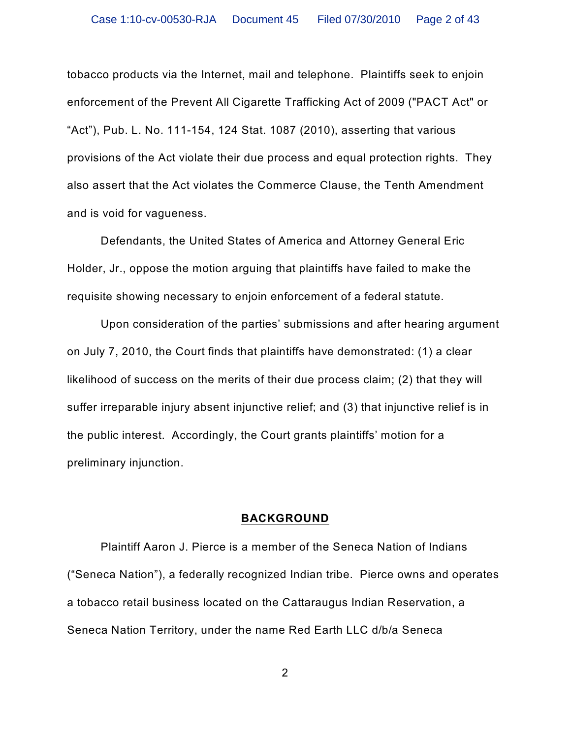tobacco products via the Internet, mail and telephone. Plaintiffs seek to enjoin enforcement of the Prevent All Cigarette Trafficking Act of 2009 ("PACT Act" or "Act"), Pub. L. No. 111-154, 124 Stat. 1087 (2010), asserting that various provisions of the Act violate their due process and equal protection rights. They also assert that the Act violates the Commerce Clause, the Tenth Amendment and is void for vagueness.

Defendants, the United States of America and Attorney General Eric Holder, Jr., oppose the motion arguing that plaintiffs have failed to make the requisite showing necessary to enjoin enforcement of a federal statute.

Upon consideration of the parties' submissions and after hearing argument on July 7, 2010, the Court finds that plaintiffs have demonstrated: (1) a clear likelihood of success on the merits of their due process claim; (2) that they will suffer irreparable injury absent injunctive relief; and (3) that injunctive relief is in the public interest. Accordingly, the Court grants plaintiffs' motion for a preliminary injunction.

### **BACKGROUND**

Plaintiff Aaron J. Pierce is a member of the Seneca Nation of Indians ("Seneca Nation"), a federally recognized Indian tribe. Pierce owns and operates a tobacco retail business located on the Cattaraugus Indian Reservation, a Seneca Nation Territory, under the name Red Earth LLC d/b/a Seneca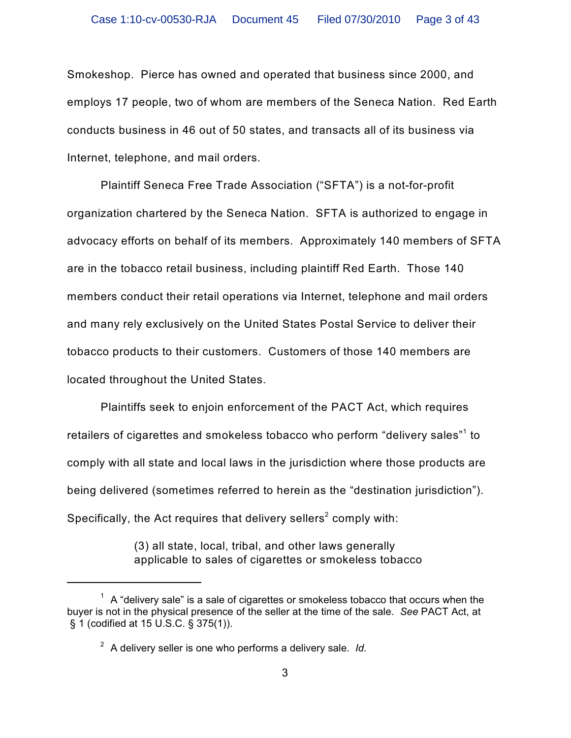Smokeshop. Pierce has owned and operated that business since 2000, and employs 17 people, two of whom are members of the Seneca Nation. Red Earth conducts business in 46 out of 50 states, and transacts all of its business via Internet, telephone, and mail orders.

Plaintiff Seneca Free Trade Association ("SFTA") is a not-for-profit organization chartered by the Seneca Nation. SFTA is authorized to engage in advocacy efforts on behalf of its members. Approximately 140 members of SFTA are in the tobacco retail business, including plaintiff Red Earth. Those 140 members conduct their retail operations via Internet, telephone and mail orders and many rely exclusively on the United States Postal Service to deliver their tobacco products to their customers. Customers of those 140 members are located throughout the United States.

Plaintiffs seek to enjoin enforcement of the PACT Act, which requires retailers of cigarettes and smokeless tobacco who perform "delivery sales"<sup>1</sup> to comply with all state and local laws in the jurisdiction where those products are being delivered (sometimes referred to herein as the "destination jurisdiction"). Specifically, the Act requires that delivery sellers $^{\text{2}}$  comply with:

> (3) all state, local, tribal, and other laws generally applicable to sales of cigarettes or smokeless tobacco

 $^1$  A "delivery sale" is a sale of cigarettes or smokeless tobacco that occurs when the buyer is not in the physical presence of the seller at the time of the sale. *See* PACT Act, at § 1 (codified at 15 U.S.C. § 375(1)).

A delivery seller is one who performs a delivery sale. *Id.* <sup>2</sup>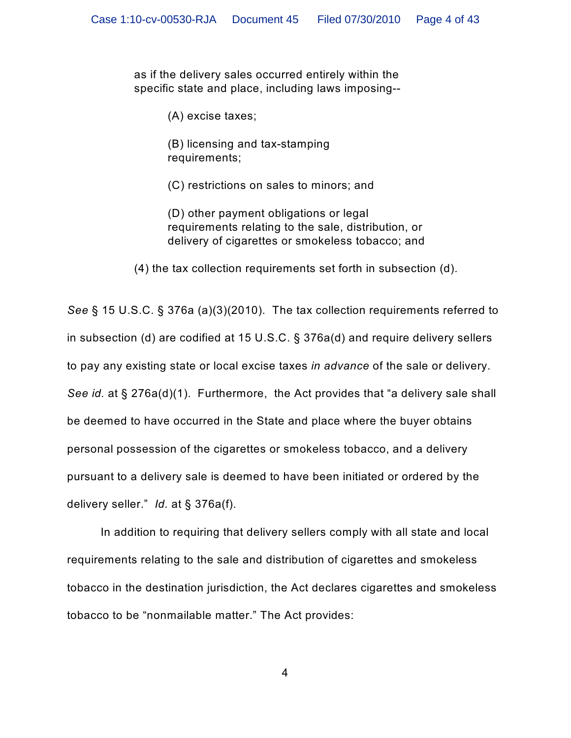as if the delivery sales occurred entirely within the specific state and place, including laws imposing--

(A) excise taxes;

(B) licensing and tax-stamping requirements;

(C) restrictions on sales to minors; and

(D) other payment obligations or legal requirements relating to the sale, distribution, or delivery of cigarettes or smokeless tobacco; and

(4) the tax collection requirements set forth in subsection (d).

*See* § 15 U.S.C. § 376a (a)(3)(2010). The tax collection requirements referred to in subsection (d) are codified at 15 U.S.C. § 376a(d) and require delivery sellers to pay any existing state or local excise taxes *in advance* of the sale or delivery. *See id.* at § 276a(d)(1). Furthermore, the Act provides that "a delivery sale shall be deemed to have occurred in the State and place where the buyer obtains personal possession of the cigarettes or smokeless tobacco, and a delivery pursuant to a delivery sale is deemed to have been initiated or ordered by the delivery seller." *Id.* at § 376a(f).

In addition to requiring that delivery sellers comply with all state and local requirements relating to the sale and distribution of cigarettes and smokeless tobacco in the destination jurisdiction, the Act declares cigarettes and smokeless tobacco to be "nonmailable matter." The Act provides: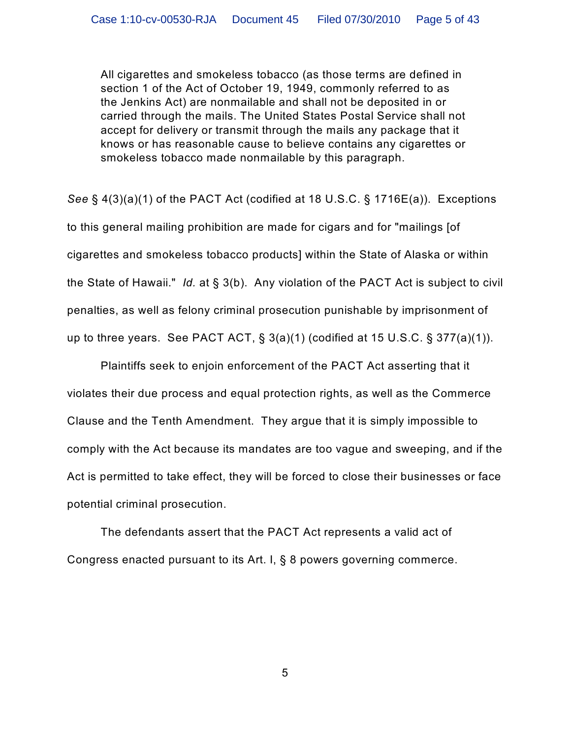All cigarettes and smokeless tobacco (as those terms are defined in section 1 of the Act of October 19, 1949, commonly referred to as the Jenkins Act) are nonmailable and shall not be deposited in or carried through the mails. The United States Postal Service shall not accept for delivery or transmit through the mails any package that it knows or has reasonable cause to believe contains any cigarettes or smokeless tobacco made nonmailable by this paragraph.

*See* § 4(3)(a)(1) of the PACT Act (codified at 18 U.S.C. § 1716E(a)). Exceptions to this general mailing prohibition are made for cigars and for "mailings [of cigarettes and smokeless tobacco products] within the State of Alaska or within the State of Hawaii." *Id.* at § 3(b). Any violation of the PACT Act is subject to civil penalties, as well as felony criminal prosecution punishable by imprisonment of up to three years. See PACT ACT, § 3(a)(1) (codified at 15 U.S.C. § 377(a)(1)).

Plaintiffs seek to enjoin enforcement of the PACT Act asserting that it violates their due process and equal protection rights, as well as the Commerce Clause and the Tenth Amendment. They argue that it is simply impossible to comply with the Act because its mandates are too vague and sweeping, and if the Act is permitted to take effect, they will be forced to close their businesses or face potential criminal prosecution.

The defendants assert that the PACT Act represents a valid act of Congress enacted pursuant to its Art. I, § 8 powers governing commerce.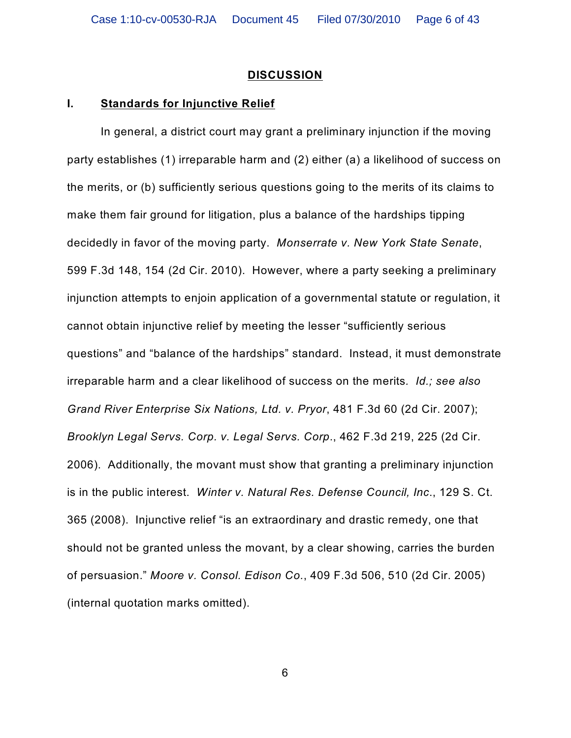#### **DISCUSSION**

#### **I. Standards for Injunctive Relief**

In general, a district court may grant a preliminary injunction if the moving party establishes (1) irreparable harm and (2) either (a) a likelihood of success on the merits, or (b) sufficiently serious questions going to the merits of its claims to make them fair ground for litigation, plus a balance of the hardships tipping decidedly in favor of the moving party. *Monserrate v. New York State Senate*, 599 F.3d 148, 154 (2d Cir. 2010). However, where a party seeking a preliminary injunction attempts to enjoin application of a governmental statute or regulation, it cannot obtain injunctive relief by meeting the lesser "sufficiently serious questions" and "balance of the hardships" standard. Instead, it must demonstrate irreparable harm and a clear likelihood of success on the merits*. Id.; see also Grand River Enterprise Six Nations, Ltd. v. Pryor*, 481 F.3d 60 (2d Cir. 2007); *Brooklyn Legal Servs. Corp. v. Legal Servs. Corp*., 462 F.3d 219, 225 (2d Cir. 2006). Additionally, the movant must show that granting a preliminary injunction is in the public interest. *Winter v. Natural Res. Defense Council, Inc*., 129 S. Ct. 365 (2008). Injunctive relief "is an extraordinary and drastic remedy, one that should not be granted unless the movant, by a clear showing, carries the burden of persuasion." *Moore v. Consol. Edison Co.*, 409 F.3d 506, 510 (2d Cir. 2005) (internal quotation marks omitted).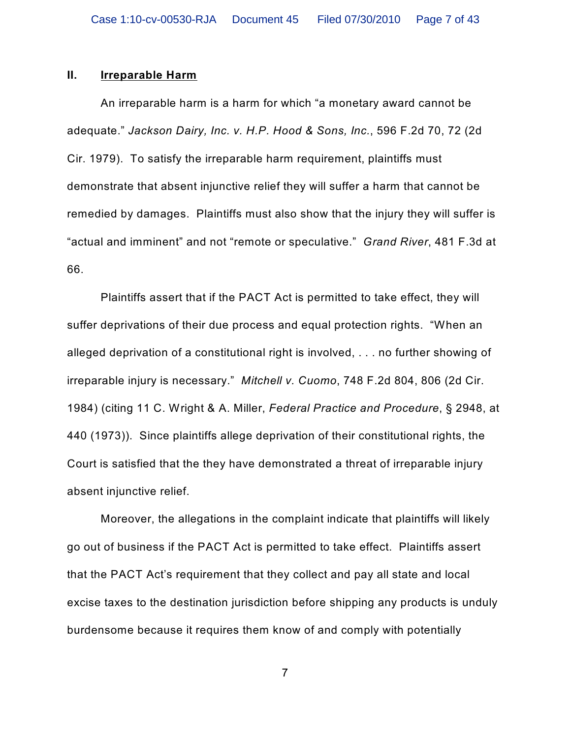### **II. Irreparable Harm**

An irreparable harm is a harm for which "a monetary award cannot be adequate." *Jackson Dairy, Inc. v. H.P. Hood & Sons, Inc.*, 596 F.2d 70, 72 (2d Cir. 1979). To satisfy the irreparable harm requirement, plaintiffs must demonstrate that absent injunctive relief they will suffer a harm that cannot be remedied by damages. Plaintiffs must also show that the injury they will suffer is "actual and imminent" and not "remote or speculative." *Grand River*, 481 F.3d at 66.

Plaintiffs assert that if the PACT Act is permitted to take effect, they will suffer deprivations of their due process and equal protection rights. "When an alleged deprivation of a constitutional right is involved, . . . no further showing of irreparable injury is necessary." *Mitchell v. Cuomo*, 748 F.2d 804, 806 (2d Cir. 1984) (citing 11 C. Wright & A. Miller, *Federal Practice and Procedure*, § 2948, at 440 (1973)). Since plaintiffs allege deprivation of their constitutional rights, the Court is satisfied that the they have demonstrated a threat of irreparable injury absent injunctive relief.

Moreover, the allegations in the complaint indicate that plaintiffs will likely go out of business if the PACT Act is permitted to take effect. Plaintiffs assert that the PACT Act's requirement that they collect and pay all state and local excise taxes to the destination jurisdiction before shipping any products is unduly burdensome because it requires them know of and comply with potentially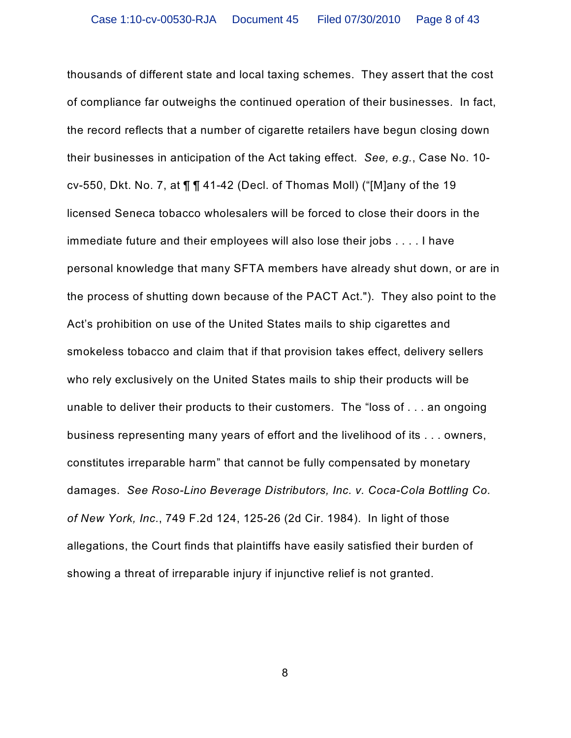thousands of different state and local taxing schemes. They assert that the cost of compliance far outweighs the continued operation of their businesses. In fact, the record reflects that a number of cigarette retailers have begun closing down their businesses in anticipation of the Act taking effect. *See, e.g.*, Case No. 10 cv-550, Dkt. No. 7, at  $\P\P$  141-42 (Decl. of Thomas Moll) ("[M]any of the 19 licensed Seneca tobacco wholesalers will be forced to close their doors in the immediate future and their employees will also lose their jobs . . . . I have personal knowledge that many SFTA members have already shut down, or are in the process of shutting down because of the PACT Act."). They also point to the Act's prohibition on use of the United States mails to ship cigarettes and smokeless tobacco and claim that if that provision takes effect, delivery sellers who rely exclusively on the United States mails to ship their products will be unable to deliver their products to their customers. The "loss of . . . an ongoing business representing many years of effort and the livelihood of its . . . owners, constitutes irreparable harm" that cannot be fully compensated by monetary damages. *See Roso-Lino Beverage Distributors, Inc. v. Coca-Cola Bottling Co. of New York, Inc.*, 749 F.2d 124, 125-26 (2d Cir. 1984). In light of those allegations, the Court finds that plaintiffs have easily satisfied their burden of showing a threat of irreparable injury if injunctive relief is not granted.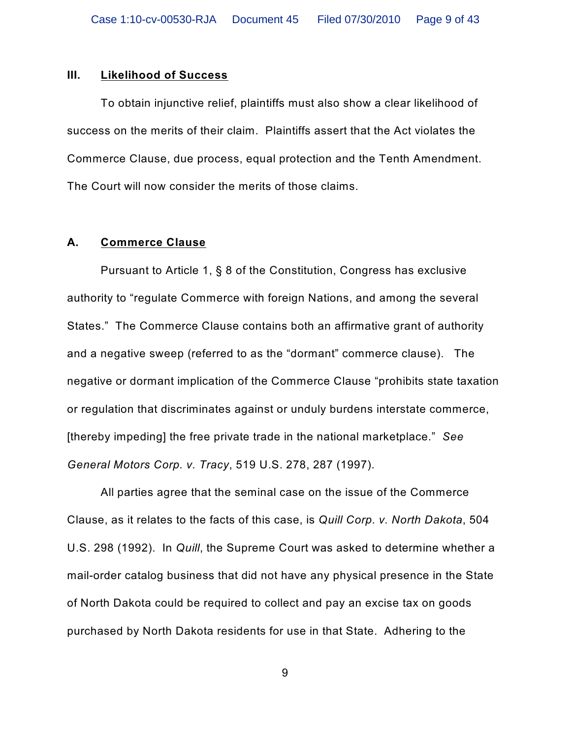#### **III. Likelihood of Success**

To obtain injunctive relief, plaintiffs must also show a clear likelihood of success on the merits of their claim. Plaintiffs assert that the Act violates the Commerce Clause, due process, equal protection and the Tenth Amendment. The Court will now consider the merits of those claims.

## **A. Commerce Clause**

Pursuant to Article 1, § 8 of the Constitution, Congress has exclusive authority to "regulate Commerce with foreign Nations, and among the several States." The Commerce Clause contains both an affirmative grant of authority and a negative sweep (referred to as the "dormant" commerce clause). The negative or dormant implication of the Commerce Clause "prohibits state taxation or regulation that discriminates against or unduly burdens interstate commerce, [thereby impeding] the free private trade in the national marketplace." *See General Motors Corp. v. Tracy*, 519 U.S. 278, 287 (1997).

All parties agree that the seminal case on the issue of the Commerce Clause, as it relates to the facts of this case, is *Quill Corp. v. North Dakota*, 504 U.S. 298 (1992). In *Quill*, the Supreme Court was asked to determine whether a mail-order catalog business that did not have any physical presence in the State of North Dakota could be required to collect and pay an excise tax on goods purchased by North Dakota residents for use in that State. Adhering to the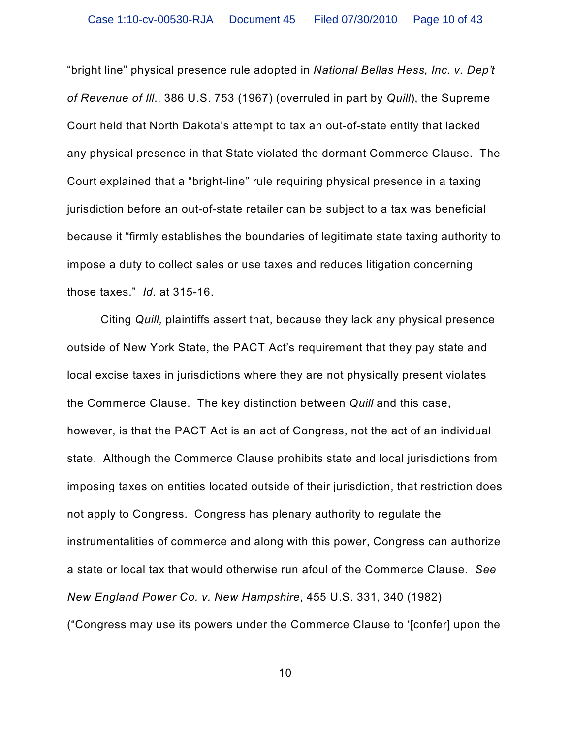"bright line" physical presence rule adopted in *National Bellas Hess, Inc. v. Dep't of Revenue of Ill*., 386 U.S. 753 (1967) (overruled in part by *Quill*), the Supreme Court held that North Dakota's attempt to tax an out-of-state entity that lacked any physical presence in that State violated the dormant Commerce Clause. The Court explained that a "bright-line" rule requiring physical presence in a taxing jurisdiction before an out-of-state retailer can be subject to a tax was beneficial because it "firmly establishes the boundaries of legitimate state taxing authority to impose a duty to collect sales or use taxes and reduces litigation concerning those taxes." *Id.* at 315-16.

Citing *Quill,* plaintiffs assert that, because they lack any physical presence outside of New York State, the PACT Act's requirement that they pay state and local excise taxes in jurisdictions where they are not physically present violates the Commerce Clause. The key distinction between *Quill* and this case, however, is that the PACT Act is an act of Congress, not the act of an individual state. Although the Commerce Clause prohibits state and local jurisdictions from imposing taxes on entities located outside of their jurisdiction, that restriction does not apply to Congress. Congress has plenary authority to regulate the instrumentalities of commerce and along with this power, Congress can authorize a state or local tax that would otherwise run afoul of the Commerce Clause. *See New England Power Co. v. New Hampshire*, 455 U.S. 331, 340 (1982) ("Congress may use its powers under the Commerce Clause to '[confer] upon the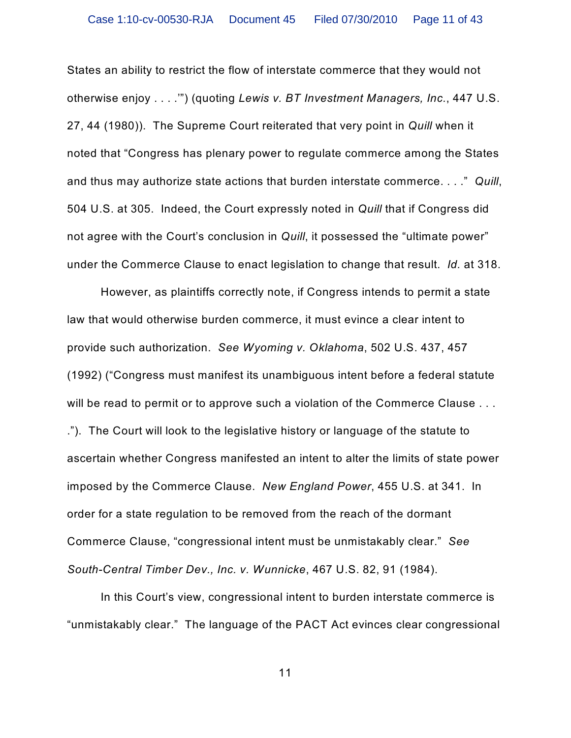States an ability to restrict the flow of interstate commerce that they would not otherwise enjoy . . . .'") (quoting *Lewis v. BT Investment Managers, Inc.*, 447 U.S. 27, 44 (1980)). The Supreme Court reiterated that very point in *Quill* when it noted that "Congress has plenary power to regulate commerce among the States and thus may authorize state actions that burden interstate commerce. . . ." *Quill*, 504 U.S. at 305. Indeed, the Court expressly noted in *Quill* that if Congress did not agree with the Court's conclusion in *Quill*, it possessed the "ultimate power" under the Commerce Clause to enact legislation to change that result. *Id.* at 318.

However, as plaintiffs correctly note, if Congress intends to permit a state law that would otherwise burden commerce, it must evince a clear intent to provide such authorization. *See Wyoming v. Oklahoma*, 502 U.S. 437, 457 (1992) ("Congress must manifest its unambiguous intent before a federal statute will be read to permit or to approve such a violation of the Commerce Clause . . . ."). The Court will look to the legislative history or language of the statute to ascertain whether Congress manifested an intent to alter the limits of state power imposed by the Commerce Clause. *New England Power*, 455 U.S. at 341. In order for a state regulation to be removed from the reach of the dormant Commerce Clause, "congressional intent must be unmistakably clear." *See South-Central Timber Dev., Inc. v. Wunnicke*, 467 U.S. 82, 91 (1984).

In this Court's view, congressional intent to burden interstate commerce is "unmistakably clear." The language of the PACT Act evinces clear congressional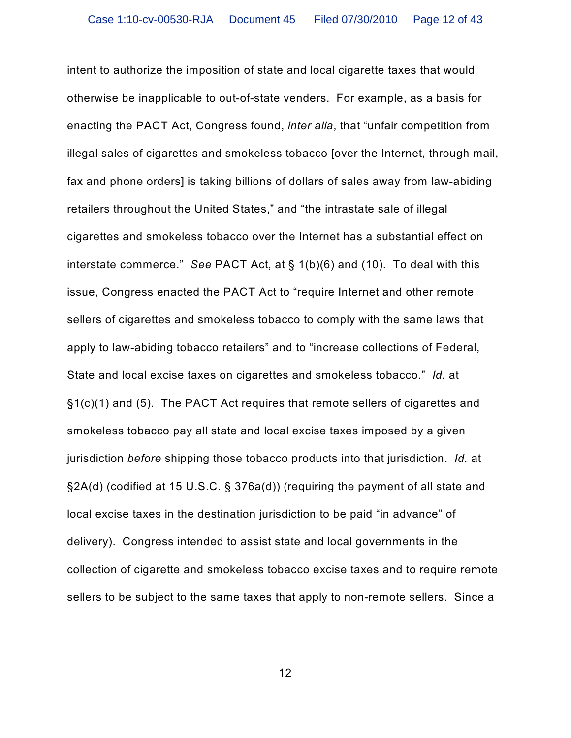intent to authorize the imposition of state and local cigarette taxes that would otherwise be inapplicable to out-of-state venders. For example, as a basis for enacting the PACT Act, Congress found, *inter alia*, that "unfair competition from illegal sales of cigarettes and smokeless tobacco [over the Internet, through mail, fax and phone orders] is taking billions of dollars of sales away from law-abiding retailers throughout the United States," and "the intrastate sale of illegal cigarettes and smokeless tobacco over the Internet has a substantial effect on interstate commerce." *See* PACT Act, at § 1(b)(6) and (10). To deal with this issue, Congress enacted the PACT Act to "require Internet and other remote sellers of cigarettes and smokeless tobacco to comply with the same laws that apply to law-abiding tobacco retailers" and to "increase collections of Federal, State and local excise taxes on cigarettes and smokeless tobacco." *Id.* at §1(c)(1) and (5). The PACT Act requires that remote sellers of cigarettes and smokeless tobacco pay all state and local excise taxes imposed by a given jurisdiction *before* shipping those tobacco products into that jurisdiction. *Id.* at §2A(d) (codified at 15 U.S.C. § 376a(d)) (requiring the payment of all state and local excise taxes in the destination jurisdiction to be paid "in advance" of delivery). Congress intended to assist state and local governments in the collection of cigarette and smokeless tobacco excise taxes and to require remote sellers to be subject to the same taxes that apply to non-remote sellers. Since a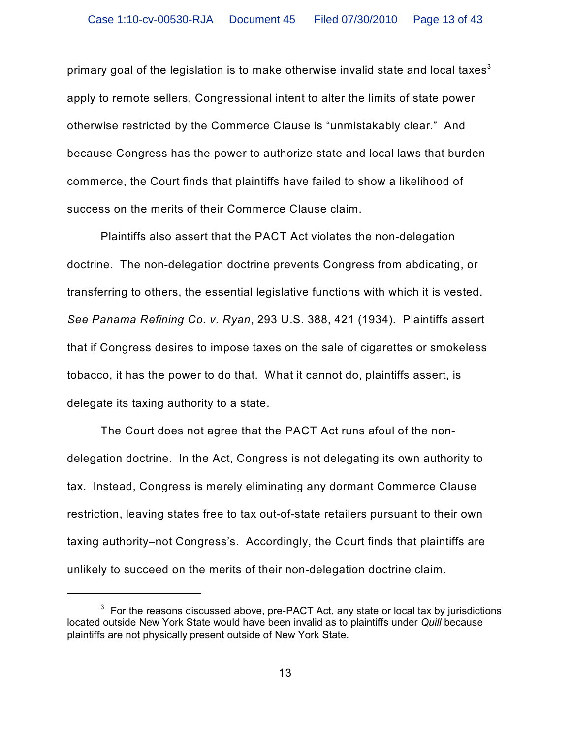primary goal of the legislation is to make otherwise invalid state and local taxes $^{\rm 3}$ apply to remote sellers, Congressional intent to alter the limits of state power otherwise restricted by the Commerce Clause is "unmistakably clear." And because Congress has the power to authorize state and local laws that burden commerce, the Court finds that plaintiffs have failed to show a likelihood of success on the merits of their Commerce Clause claim.

Plaintiffs also assert that the PACT Act violates the non-delegation doctrine. The non-delegation doctrine prevents Congress from abdicating, or transferring to others, the essential legislative functions with which it is vested. *See Panama Refining Co. v. Ryan*, 293 U.S. 388, 421 (1934). Plaintiffs assert that if Congress desires to impose taxes on the sale of cigarettes or smokeless tobacco, it has the power to do that. What it cannot do, plaintiffs assert, is delegate its taxing authority to a state.

The Court does not agree that the PACT Act runs afoul of the nondelegation doctrine. In the Act, Congress is not delegating its own authority to tax. Instead, Congress is merely eliminating any dormant Commerce Clause restriction, leaving states free to tax out-of-state retailers pursuant to their own taxing authority–not Congress's. Accordingly, the Court finds that plaintiffs are unlikely to succeed on the merits of their non-delegation doctrine claim.

 $3$  For the reasons discussed above, pre-PACT Act, any state or local tax by jurisdictions located outside New York State would have been invalid as to plaintiffs under *Quill* because plaintiffs are not physically present outside of New York State.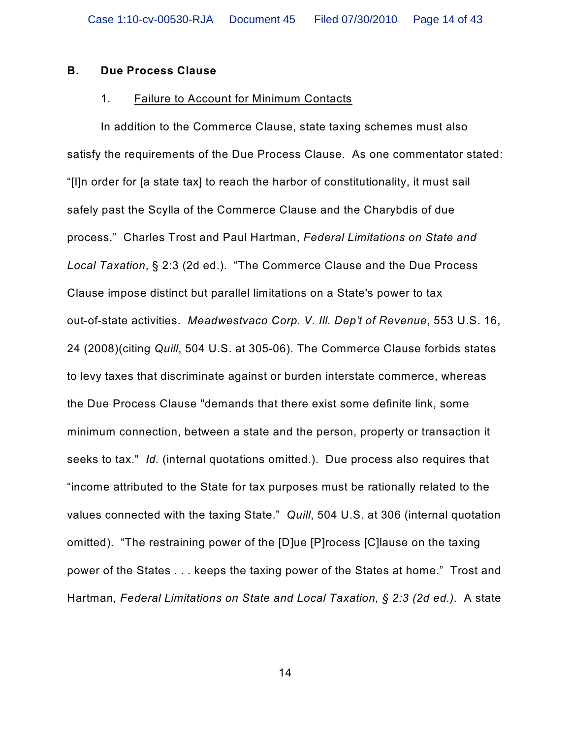### **B. Due Process Clause**

#### 1. Failure to Account for Minimum Contacts

In addition to the Commerce Clause, state taxing schemes must also satisfy the requirements of the Due Process Clause. As one commentator stated: "[I]n order for [a state tax] to reach the harbor of constitutionality, it must sail safely past the Scylla of the Commerce Clause and the Charybdis of due process." Charles Trost and Paul Hartman, *Federal Limitations on State and Local Taxation*, § 2:3 (2d ed.). "The Commerce Clause and the Due Process Clause impose distinct but parallel limitations on a State's power to tax out-of-state activities. *Meadwestvaco Corp. V. Ill. Dep't of Revenue*, 553 U.S. 16, 24 (2008)(citing *Quill*, 504 U.S. at 305-06). The Commerce Clause forbids states to levy taxes that discriminate against or burden interstate commerce, whereas the Due Process Clause "demands that there exist some definite link, some minimum connection, between a state and the person, property or transaction it seeks to tax." *Id.* (internal quotations omitted.). Due process also requires that "income attributed to the State for tax purposes must be rationally related to the values connected with the taxing State." *Quill*, 504 U.S. at 306 (internal quotation omitted). "The restraining power of the [D]ue [P]rocess [C]lause on the taxing power of the States . . . keeps the taxing power of the States at home." Trost and Hartman*, Federal Limitations on State and Local Taxation, § 2:3 (2d ed.).* A state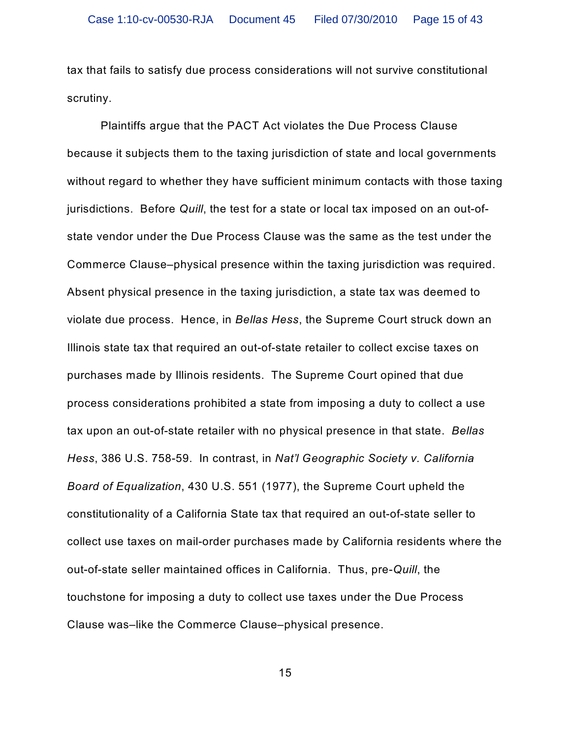tax that fails to satisfy due process considerations will not survive constitutional scrutiny.

Plaintiffs argue that the PACT Act violates the Due Process Clause because it subjects them to the taxing jurisdiction of state and local governments without regard to whether they have sufficient minimum contacts with those taxing jurisdictions. Before *Quill*, the test for a state or local tax imposed on an out-ofstate vendor under the Due Process Clause was the same as the test under the Commerce Clause–physical presence within the taxing jurisdiction was required. Absent physical presence in the taxing jurisdiction, a state tax was deemed to violate due process. Hence, in *Bellas Hess*, the Supreme Court struck down an Illinois state tax that required an out-of-state retailer to collect excise taxes on purchases made by Illinois residents. The Supreme Court opined that due process considerations prohibited a state from imposing a duty to collect a use tax upon an out-of-state retailer with no physical presence in that state. *Bellas Hess*, 386 U.S. 758-59. In contrast, in *Nat'l Geographic Society v. California Board of Equalization*, 430 U.S. 551 (1977), the Supreme Court upheld the constitutionality of a California State tax that required an out-of-state seller to collect use taxes on mail-order purchases made by California residents where the out-of-state seller maintained offices in California. Thus, pre-*Quill*, the touchstone for imposing a duty to collect use taxes under the Due Process Clause was–like the Commerce Clause–physical presence.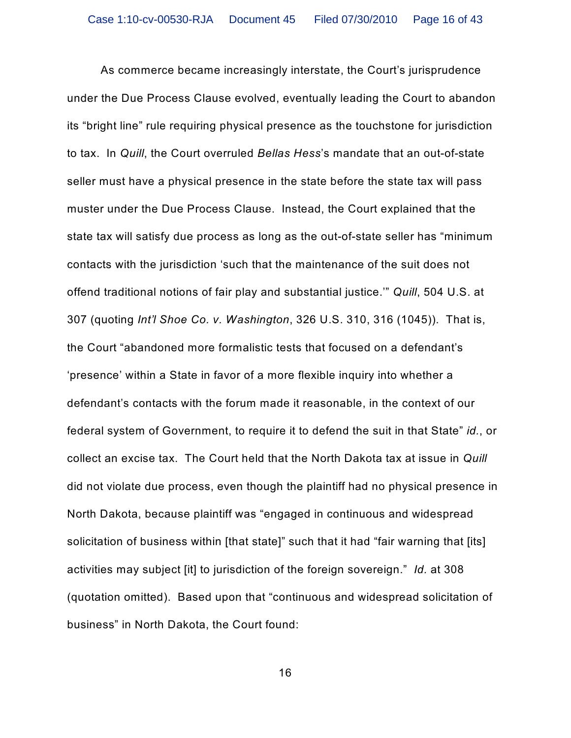As commerce became increasingly interstate, the Court's jurisprudence under the Due Process Clause evolved, eventually leading the Court to abandon its "bright line" rule requiring physical presence as the touchstone for jurisdiction to tax. In *Quill*, the Court overruled *Bellas Hess*'s mandate that an out-of-state seller must have a physical presence in the state before the state tax will pass muster under the Due Process Clause. Instead, the Court explained that the state tax will satisfy due process as long as the out-of-state seller has "minimum contacts with the jurisdiction 'such that the maintenance of the suit does not offend traditional notions of fair play and substantial justice.'" *Quill*, 504 U.S. at 307 (quoting *Int'l Shoe Co. v. Washington*, 326 U.S. 310, 316 (1045)). That is, the Court "abandoned more formalistic tests that focused on a defendant's 'presence' within a State in favor of a more flexible inquiry into whether a defendant's contacts with the forum made it reasonable, in the context of our federal system of Government, to require it to defend the suit in that State" *id.*, or collect an excise tax. The Court held that the North Dakota tax at issue in *Quill* did not violate due process, even though the plaintiff had no physical presence in North Dakota, because plaintiff was "engaged in continuous and widespread solicitation of business within [that state]" such that it had "fair warning that [its] activities may subject [it] to jurisdiction of the foreign sovereign." *Id.* at 308 (quotation omitted). Based upon that "continuous and widespread solicitation of business" in North Dakota, the Court found: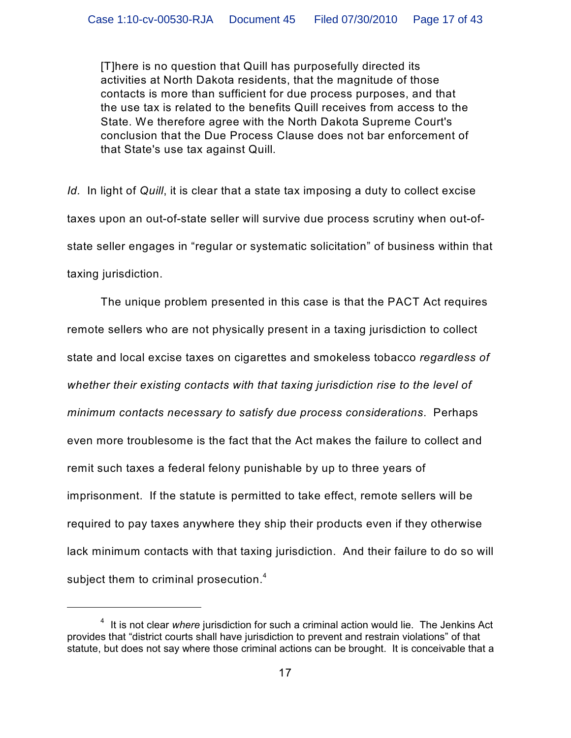[T]here is no question that Quill has purposefully directed its activities at North Dakota residents, that the magnitude of those contacts is more than sufficient for due process purposes, and that the use tax is related to the benefits Quill receives from access to the State. We therefore agree with the North Dakota Supreme Court's conclusion that the Due Process Clause does not bar enforcement of that State's use tax against Quill.

*Id.* In light of *Quill*, it is clear that a state tax imposing a duty to collect excise taxes upon an out-of-state seller will survive due process scrutiny when out-ofstate seller engages in "regular or systematic solicitation" of business within that taxing jurisdiction.

The unique problem presented in this case is that the PACT Act requires remote sellers who are not physically present in a taxing jurisdiction to collect state and local excise taxes on cigarettes and smokeless tobacco *regardless of whether their existing contacts with that taxing jurisdiction rise to the level of minimum contacts necessary to satisfy due process considerations*. Perhaps even more troublesome is the fact that the Act makes the failure to collect and remit such taxes a federal felony punishable by up to three years of imprisonment. If the statute is permitted to take effect, remote sellers will be required to pay taxes anywhere they ship their products even if they otherwise lack minimum contacts with that taxing jurisdiction. And their failure to do so will subject them to criminal prosecution. $^{\text{4}}$ 

<sup>&</sup>lt;sup>4</sup> It is not clear where jurisdiction for such a criminal action would lie. The Jenkins Act provides that "district courts shall have jurisdiction to prevent and restrain violations" of that statute, but does not say where those criminal actions can be brought. It is conceivable that a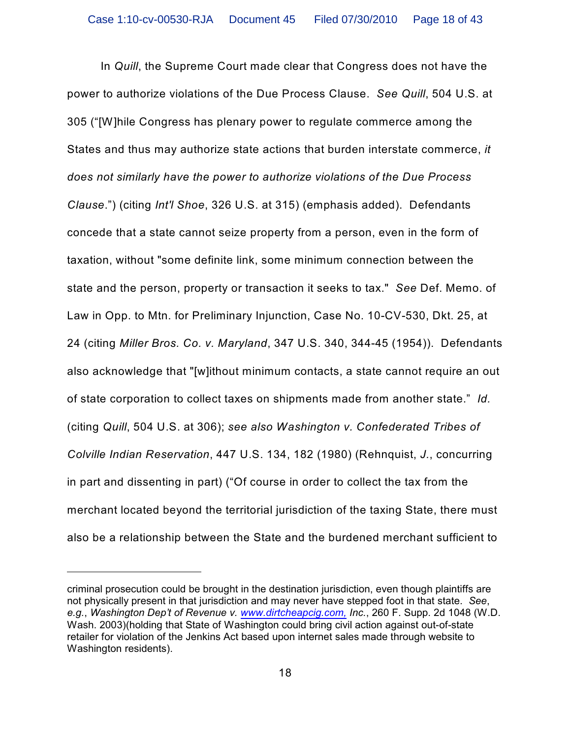In *Quill*, the Supreme Court made clear that Congress does not have the power to authorize violations of the Due Process Clause. *See Quill*, 504 U.S. at 305 ("[W]hile Congress has plenary power to regulate commerce among the States and thus may authorize state actions that burden interstate commerce, *it does not similarly have the power to authorize violations of the Due Process Clause*.") (citing *Int'l Shoe*, 326 U.S. at 315) (emphasis added). Defendants concede that a state cannot seize property from a person, even in the form of taxation, without "some definite link, some minimum connection between the state and the person, property or transaction it seeks to tax." *See* Def. Memo. of Law in Opp. to Mtn. for Preliminary Injunction, Case No. 10-CV-530, Dkt. 25, at 24 (citing *Miller Bros. Co. v. Maryland*, 347 U.S. 340, 344-45 (1954)). Defendants also acknowledge that "[w]ithout minimum contacts, a state cannot require an out of state corporation to collect taxes on shipments made from another state." *Id.* (citing *Quill*, 504 U.S. at 306); *see also Washington v. Confederated Tribes of Colville Indian Reservation*, 447 U.S. 134, 182 (1980) (Rehnquist, *J.*, concurring in part and dissenting in part) ("Of course in order to collect the tax from the merchant located beyond the territorial jurisdiction of the taxing State, there must also be a relationship between the State and the burdened merchant sufficient to

criminal prosecution could be brought in the destination jurisdiction, even though plaintiffs are not physically present in that jurisdiction and may never have stepped foot in that state. *See*, *e.g.*, *Washington Dep't of Revenue v. [www.dirtcheapcig.com,](http://www.dirtcheapcig.com,) Inc.*, 260 F. Supp. 2d 1048 (W.D. Wash. 2003)(holding that State of Washington could bring civil action against out-of-state retailer for violation of the Jenkins Act based upon internet sales made through website to Washington residents).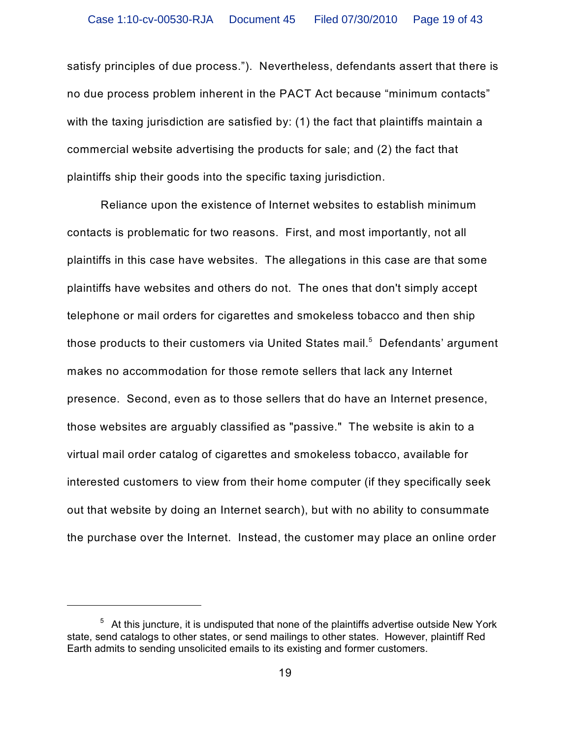satisfy principles of due process."). Nevertheless, defendants assert that there is no due process problem inherent in the PACT Act because "minimum contacts" with the taxing jurisdiction are satisfied by: (1) the fact that plaintiffs maintain a commercial website advertising the products for sale; and (2) the fact that plaintiffs ship their goods into the specific taxing jurisdiction.

Reliance upon the existence of Internet websites to establish minimum contacts is problematic for two reasons. First, and most importantly, not all plaintiffs in this case have websites. The allegations in this case are that some plaintiffs have websites and others do not. The ones that don't simply accept telephone or mail orders for cigarettes and smokeless tobacco and then ship those products to their customers via United States mail. $^5\,$  Defendants' argument makes no accommodation for those remote sellers that lack any Internet presence. Second, even as to those sellers that do have an Internet presence, those websites are arguably classified as "passive." The website is akin to a virtual mail order catalog of cigarettes and smokeless tobacco, available for interested customers to view from their home computer (if they specifically seek out that website by doing an Internet search), but with no ability to consummate the purchase over the Internet. Instead, the customer may place an online order

 $5$  At this juncture, it is undisputed that none of the plaintiffs advertise outside New York state, send catalogs to other states, or send mailings to other states. However, plaintiff Red Earth admits to sending unsolicited emails to its existing and former customers.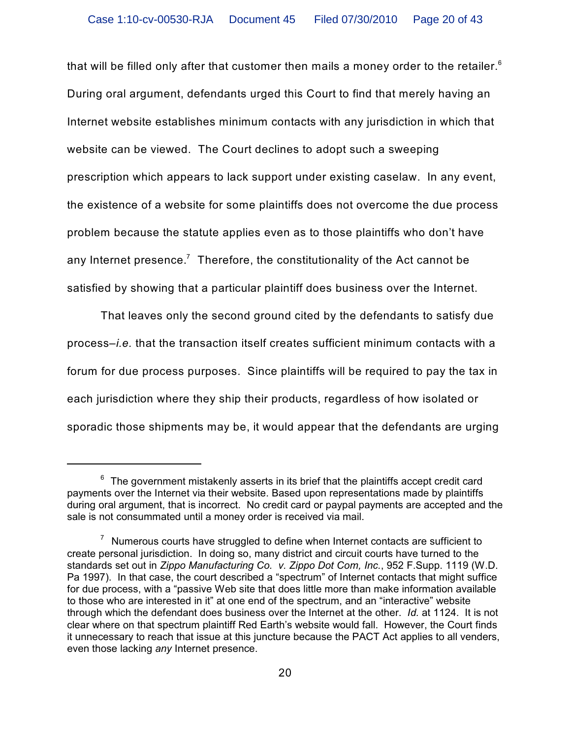that will be filled only after that customer then mails a money order to the retailer. $^{\rm 6}$ During oral argument, defendants urged this Court to find that merely having an Internet website establishes minimum contacts with any jurisdiction in which that website can be viewed. The Court declines to adopt such a sweeping prescription which appears to lack support under existing caselaw. In any event, the existence of a website for some plaintiffs does not overcome the due process problem because the statute applies even as to those plaintiffs who don't have any Internet presence. $^7$  Therefore, the constitutionality of the Act cannot be satisfied by showing that a particular plaintiff does business over the Internet.

That leaves only the second ground cited by the defendants to satisfy due process–*i.e.* that the transaction itself creates sufficient minimum contacts with a forum for due process purposes. Since plaintiffs will be required to pay the tax in each jurisdiction where they ship their products, regardless of how isolated or sporadic those shipments may be, it would appear that the defendants are urging

 $^6$  The government mistakenly asserts in its brief that the plaintiffs accept credit card payments over the Internet via their website. Based upon representations made by plaintiffs during oral argument, that is incorrect. No credit card or paypal payments are accepted and the sale is not consummated until a money order is received via mail.

 $\frac{7}{1}$  Numerous courts have struggled to define when Internet contacts are sufficient to create personal jurisdiction. In doing so, many district and circuit courts have turned to the standards set out in *Zippo Manufacturing Co. v. Zippo Dot Com, Inc.*, 952 F.Supp. 1119 (W.D. Pa 1997). In that case, the court described a "spectrum" of Internet contacts that might suffice for due process, with a "passive Web site that does little more than make information available to those who are interested in it" at one end of the spectrum, and an "interactive" website through which the defendant does business over the Internet at the other. *Id.* at 1124. It is not clear where on that spectrum plaintiff Red Earth's website would fall. However, the Court finds it unnecessary to reach that issue at this juncture because the PACT Act applies to all venders, even those lacking *any* Internet presence.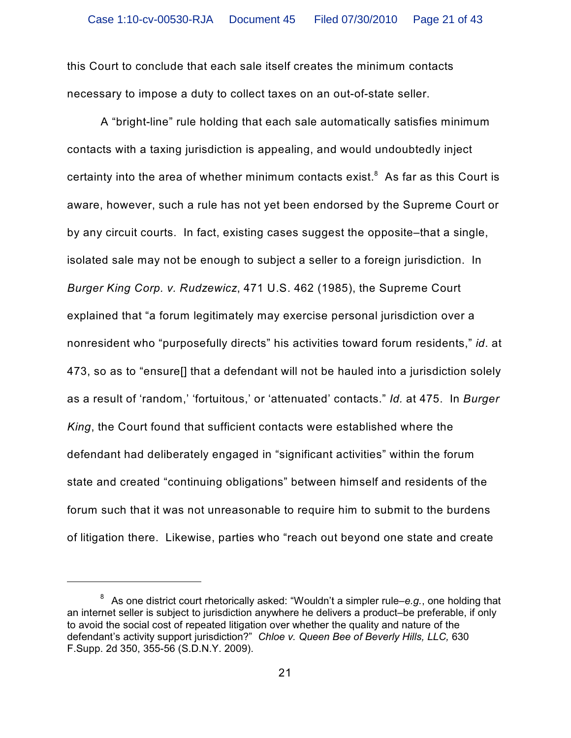this Court to conclude that each sale itself creates the minimum contacts necessary to impose a duty to collect taxes on an out-of-state seller.

A "bright-line" rule holding that each sale automatically satisfies minimum contacts with a taxing jurisdiction is appealing, and would undoubtedly inject certainty into the area of whether minimum contacts exist. ${}^{8}$  As far as this Court is aware, however, such a rule has not yet been endorsed by the Supreme Court or by any circuit courts. In fact, existing cases suggest the opposite–that a single, isolated sale may not be enough to subject a seller to a foreign jurisdiction. In *Burger King Corp. v. Rudzewicz*, 471 U.S. 462 (1985), the Supreme Court explained that "a forum legitimately may exercise personal jurisdiction over a nonresident who "purposefully directs" his activities toward forum residents," *id*. at 473, so as to "ensure[] that a defendant will not be hauled into a jurisdiction solely as a result of 'random,' 'fortuitous,' or 'attenuated' contacts." *Id.* at 475. In *Burger King*, the Court found that sufficient contacts were established where the defendant had deliberately engaged in "significant activities" within the forum state and created "continuing obligations" between himself and residents of the forum such that it was not unreasonable to require him to submit to the burdens of litigation there. Likewise, parties who "reach out beyond one state and create

<sup>&</sup>lt;sup>8</sup> As one district court rhetorically asked: "Wouldn't a simpler rule–e.g., one holding that an internet seller is subject to jurisdiction anywhere he delivers a product–be preferable, if only to avoid the social cost of repeated litigation over whether the quality and nature of the defendant's activity support jurisdiction?" *Chloe v. Queen Bee of Beverly Hills, LLC,* 630 F.Supp. 2d 350, 355-56 (S.D.N.Y. 2009).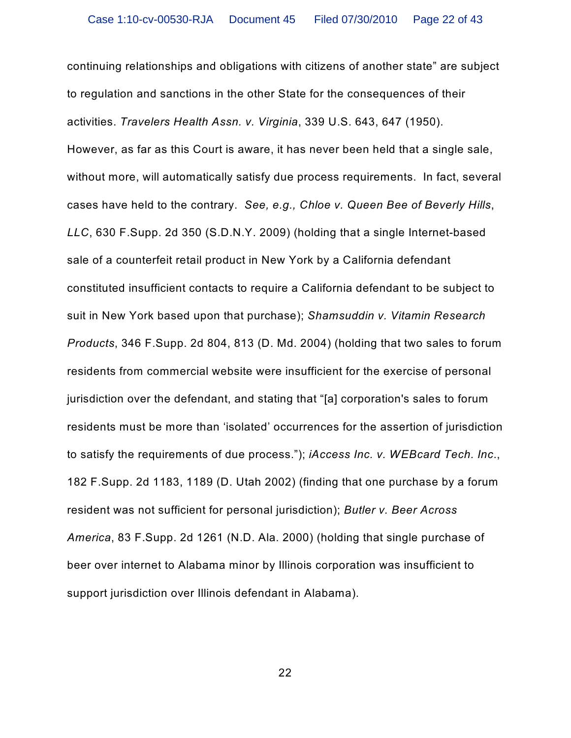continuing relationships and obligations with citizens of another state" are subject to regulation and sanctions in the other State for the consequences of their activities. *Travelers Health Assn. v. Virginia*, 339 U.S. 643, 647 (1950). However, as far as this Court is aware, it has never been held that a single sale, without more, will automatically satisfy due process requirements. In fact, several cases have held to the contrary. *See, e.g., Chloe v. Queen Bee of Beverly Hills*, *LLC*, 630 F.Supp. 2d 350 (S.D.N.Y. 2009) (holding that a single Internet-based sale of a counterfeit retail product in New York by a California defendant constituted insufficient contacts to require a California defendant to be subject to suit in New York based upon that purchase); *Shamsuddin v. Vitamin Research Products*, 346 F.Supp. 2d 804, 813 (D. Md. 2004) (holding that two sales to forum residents from commercial website were insufficient for the exercise of personal jurisdiction over the defendant, and stating that "[a] corporation's sales to forum residents must be more than 'isolated' occurrences for the assertion of jurisdiction to satisfy the requirements of due process."); *iAccess Inc. v. WEBcard Tech. Inc*., 182 F.Supp. 2d 1183, 1189 (D. Utah 2002) (finding that one purchase by a forum resident was not sufficient for personal jurisdiction); *Butler v. Beer Across America*, 83 F.Supp. 2d 1261 (N.D. Ala. 2000) (holding that single purchase of beer over internet to Alabama minor by Illinois corporation was insufficient to support jurisdiction over Illinois defendant in Alabama).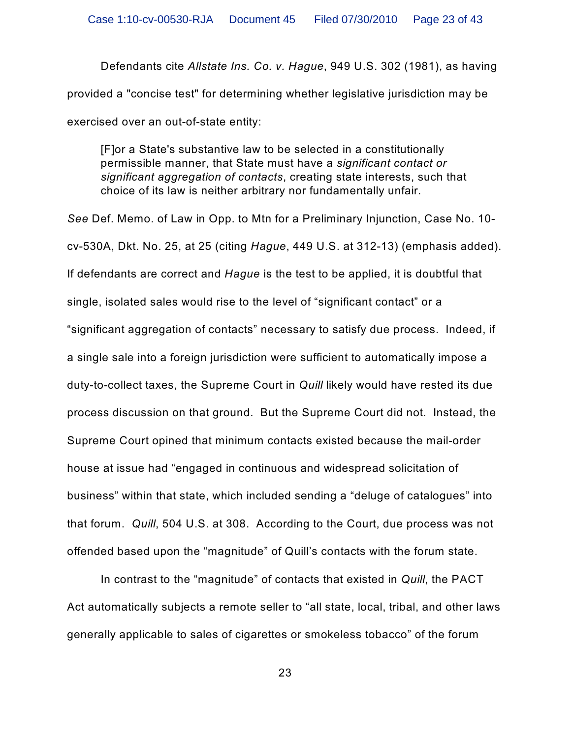Defendants cite *Allstate Ins. Co. v. Hague*, 949 U.S. 302 (1981), as having provided a "concise test" for determining whether legislative jurisdiction may be exercised over an out-of-state entity:

[F]or a State's substantive law to be selected in a constitutionally permissible manner, that State must have a *significant contact or significant aggregation of contacts*, creating state interests, such that choice of its law is neither arbitrary nor fundamentally unfair.

*See* Def. Memo. of Law in Opp. to Mtn for a Preliminary Injunction, Case No. 10 cv-530A, Dkt. No. 25, at 25 (citing *Hague*, 449 U.S. at 312-13) (emphasis added). If defendants are correct and *Hague* is the test to be applied, it is doubtful that single, isolated sales would rise to the level of "significant contact" or a "significant aggregation of contacts" necessary to satisfy due process. Indeed, if a single sale into a foreign jurisdiction were sufficient to automatically impose a duty-to-collect taxes, the Supreme Court in *Quill* likely would have rested its due process discussion on that ground. But the Supreme Court did not. Instead, the Supreme Court opined that minimum contacts existed because the mail-order house at issue had "engaged in continuous and widespread solicitation of business" within that state, which included sending a "deluge of catalogues" into that forum. *Quill*, 504 U.S. at 308. According to the Court, due process was not offended based upon the "magnitude" of Quill's contacts with the forum state.

In contrast to the "magnitude" of contacts that existed in *Quill*, the PACT Act automatically subjects a remote seller to "all state, local, tribal, and other laws generally applicable to sales of cigarettes or smokeless tobacco" of the forum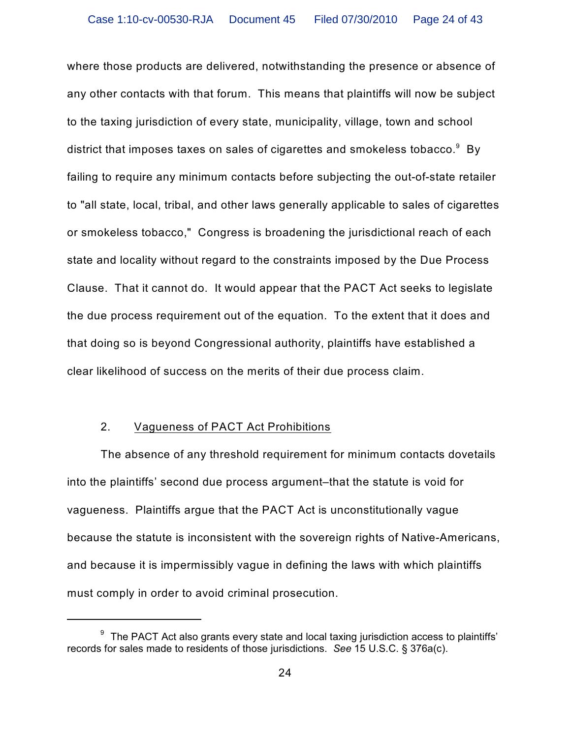where those products are delivered, notwithstanding the presence or absence of any other contacts with that forum. This means that plaintiffs will now be subject to the taxing jurisdiction of every state, municipality, village, town and school district that imposes taxes on sales of cigarettes and smokeless tobacco. $^{\circ}\,$  By failing to require any minimum contacts before subjecting the out-of-state retailer to "all state, local, tribal, and other laws generally applicable to sales of cigarettes or smokeless tobacco," Congress is broadening the jurisdictional reach of each state and locality without regard to the constraints imposed by the Due Process Clause. That it cannot do. It would appear that the PACT Act seeks to legislate the due process requirement out of the equation. To the extent that it does and that doing so is beyond Congressional authority, plaintiffs have established a clear likelihood of success on the merits of their due process claim.

## 2. Vagueness of PACT Act Prohibitions

The absence of any threshold requirement for minimum contacts dovetails into the plaintiffs' second due process argument–that the statute is void for vagueness. Plaintiffs argue that the PACT Act is unconstitutionally vague because the statute is inconsistent with the sovereign rights of Native-Americans, and because it is impermissibly vague in defining the laws with which plaintiffs must comply in order to avoid criminal prosecution.

 $9\degree$  The PACT Act also grants every state and local taxing jurisdiction access to plaintiffs' records for sales made to residents of those jurisdictions. *See* 15 U.S.C. § 376a(c).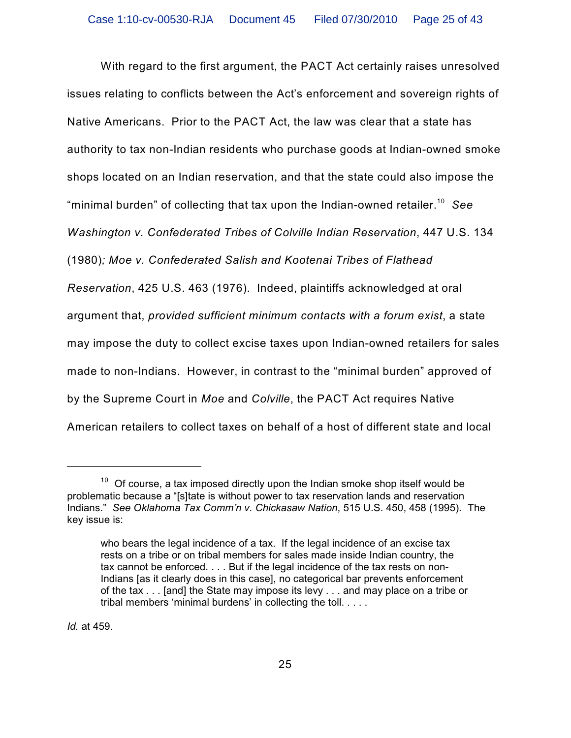With regard to the first argument, the PACT Act certainly raises unresolved issues relating to conflicts between the Act's enforcement and sovereign rights of Native Americans. Prior to the PACT Act, the law was clear that a state has authority to tax non-Indian residents who purchase goods at Indian-owned smoke shops located on an Indian reservation, and that the state could also impose the "minimal burden" of collecting that tax upon the Indian-owned retailer.<sup>10</sup> See *Washington v. Confederated Tribes of Colville Indian Reservation*, 447 U.S. 134 (1980)*; Moe v. Confederated Salish and Kootenai Tribes of Flathead Reservation*, 425 U.S. 463 (1976). Indeed, plaintiffs acknowledged at oral argument that, *provided sufficient minimum contacts with a forum exist*, a state may impose the duty to collect excise taxes upon Indian-owned retailers for sales made to non-Indians. However, in contrast to the "minimal burden" approved of by the Supreme Court in *Moe* and *Colville*, the PACT Act requires Native American retailers to collect taxes on behalf of a host of different state and local

*Id.* at 459.

 $10$  Of course, a tax imposed directly upon the Indian smoke shop itself would be problematic because a "[s]tate is without power to tax reservation lands and reservation Indians." *See Oklahoma Tax Comm'n v. Chickasaw Nation*, 515 U.S. 450, 458 (1995). The key issue is:

who bears the legal incidence of a tax. If the legal incidence of an excise tax rests on a tribe or on tribal members for sales made inside Indian country, the tax cannot be enforced. . . . But if the legal incidence of the tax rests on non-Indians [as it clearly does in this case], no categorical bar prevents enforcement of the tax . . . [and] the State may impose its levy . . . and may place on a tribe or tribal members 'minimal burdens' in collecting the toll. . . . .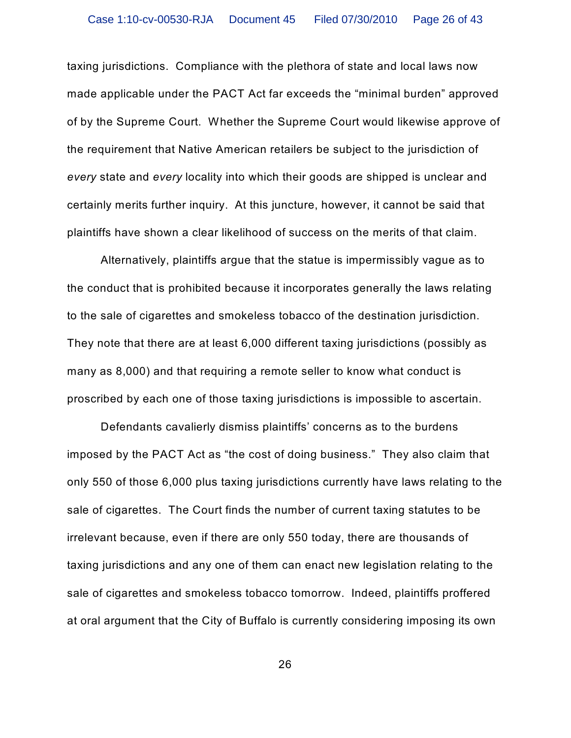taxing jurisdictions. Compliance with the plethora of state and local laws now made applicable under the PACT Act far exceeds the "minimal burden" approved of by the Supreme Court. Whether the Supreme Court would likewise approve of the requirement that Native American retailers be subject to the jurisdiction of *every* state and *every* locality into which their goods are shipped is unclear and certainly merits further inquiry. At this juncture, however, it cannot be said that plaintiffs have shown a clear likelihood of success on the merits of that claim.

Alternatively, plaintiffs argue that the statue is impermissibly vague as to the conduct that is prohibited because it incorporates generally the laws relating to the sale of cigarettes and smokeless tobacco of the destination jurisdiction. They note that there are at least 6,000 different taxing jurisdictions (possibly as many as 8,000) and that requiring a remote seller to know what conduct is proscribed by each one of those taxing jurisdictions is impossible to ascertain.

Defendants cavalierly dismiss plaintiffs' concerns as to the burdens imposed by the PACT Act as "the cost of doing business." They also claim that only 550 of those 6,000 plus taxing jurisdictions currently have laws relating to the sale of cigarettes. The Court finds the number of current taxing statutes to be irrelevant because, even if there are only 550 today, there are thousands of taxing jurisdictions and any one of them can enact new legislation relating to the sale of cigarettes and smokeless tobacco tomorrow. Indeed, plaintiffs proffered at oral argument that the City of Buffalo is currently considering imposing its own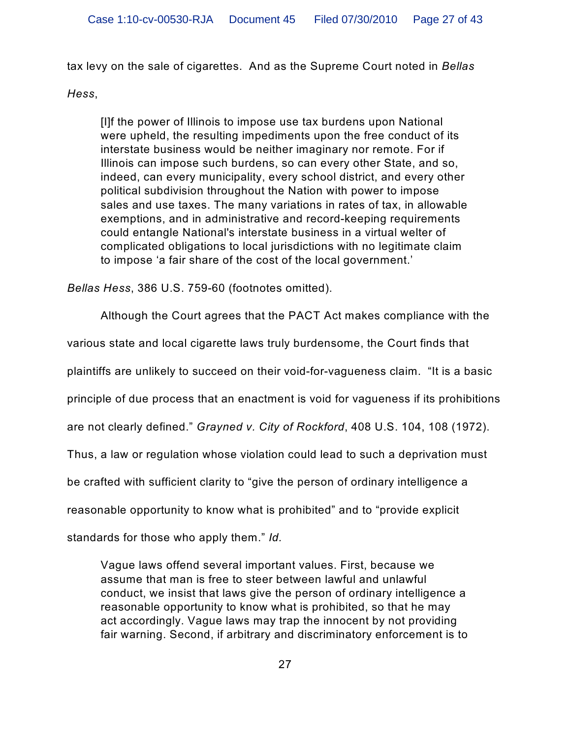tax levy on the sale of cigarettes. And as the Supreme Court noted in *Bellas*

# *Hess*,

[I]f the power of Illinois to impose use tax burdens upon National were upheld, the resulting impediments upon the free conduct of its interstate business would be neither imaginary nor remote. For if Illinois can impose such burdens, so can every other State, and so, indeed, can every municipality, every school district, and every other political subdivision throughout the Nation with power to impose sales and use taxes. The many variations in rates of tax, in allowable exemptions, and in administrative and record-keeping requirements could entangle National's interstate business in a virtual welter of complicated obligations to local jurisdictions with no legitimate claim to impose 'a fair share of the cost of the local government.'

*Bellas Hess*, 386 U.S. 759-60 (footnotes omitted).

Although the Court agrees that the PACT Act makes compliance with the

various state and local cigarette laws truly burdensome, the Court finds that

plaintiffs are unlikely to succeed on their void-for-vagueness claim. "It is a basic

principle of due process that an enactment is void for vagueness if its prohibitions

are not clearly defined." *Grayned v. City of Rockford*, 408 U.S. 104, 108 (1972).

Thus, a law or regulation whose violation could lead to such a deprivation must

be crafted with sufficient clarity to "give the person of ordinary intelligence a

reasonable opportunity to know what is prohibited" and to "provide explicit

standards for those who apply them." *Id.*

Vague laws offend several important values. First, because we assume that man is free to steer between lawful and unlawful conduct, we insist that laws give the person of ordinary intelligence a reasonable opportunity to know what is prohibited, so that he may act accordingly. Vague laws may trap the innocent by not providing fair warning. Second, if arbitrary and discriminatory enforcement is to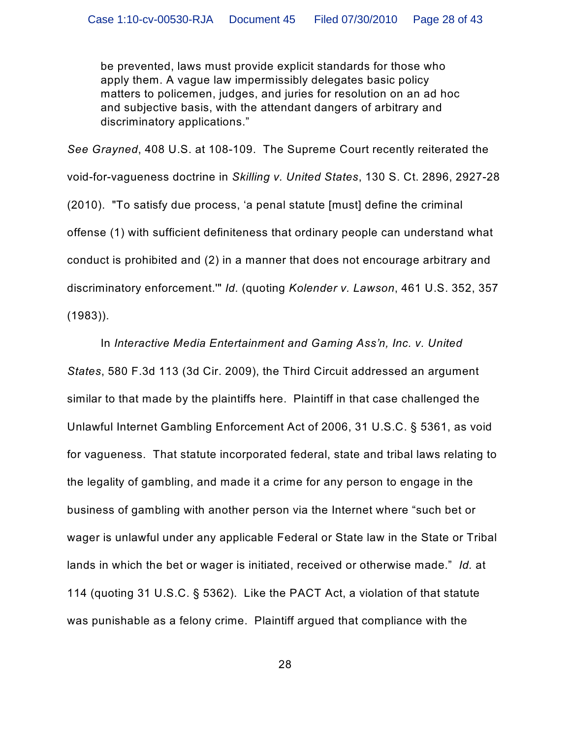be prevented, laws must provide explicit standards for those who apply them. A vague law impermissibly delegates basic policy matters to policemen, judges, and juries for resolution on an ad hoc and subjective basis, with the attendant dangers of arbitrary and discriminatory applications."

*See Grayned*, 408 U.S. at 108-109. The Supreme Court recently reiterated the void-for-vagueness doctrine in *Skilling v. United States*, 130 S. Ct. 2896, 2927-28 (2010). "To satisfy due process, 'a penal statute [must] define the criminal offense (1) with sufficient definiteness that ordinary people can understand what conduct is prohibited and (2) in a manner that does not encourage arbitrary and discriminatory enforcement.'" *Id.* (quoting *Kolender v. Lawson*, 461 U.S. 352, 357 (1983)).

In *Interactive Media Entertainment and Gaming Ass'n, Inc. v. United States*, 580 F.3d 113 (3d Cir. 2009), the Third Circuit addressed an argument similar to that made by the plaintiffs here. Plaintiff in that case challenged the Unlawful Internet Gambling Enforcement Act of 2006, 31 U.S.C. § 5361, as void for vagueness. That statute incorporated federal, state and tribal laws relating to the legality of gambling, and made it a crime for any person to engage in the business of gambling with another person via the Internet where "such bet or wager is unlawful under any applicable Federal or State law in the State or Tribal lands in which the bet or wager is initiated, received or otherwise made." *Id.* at 114 (quoting 31 U.S.C. § 5362). Like the PACT Act, a violation of that statute was punishable as a felony crime. Plaintiff argued that compliance with the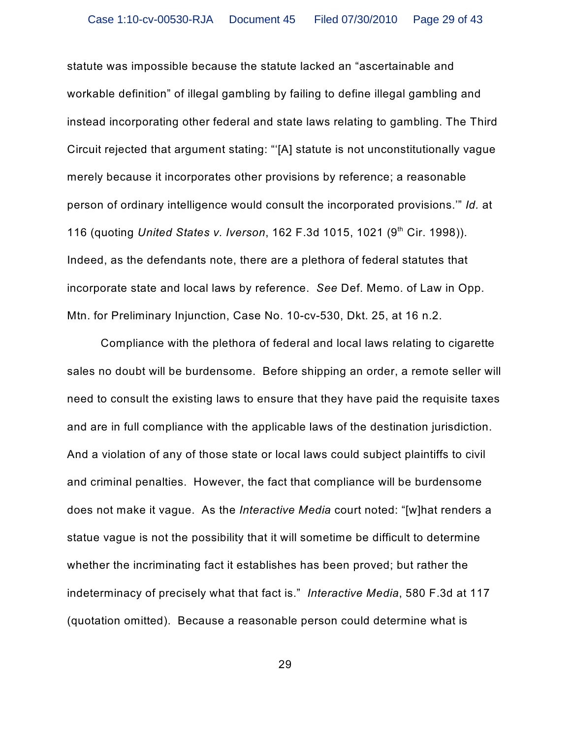statute was impossible because the statute lacked an "ascertainable and workable definition" of illegal gambling by failing to define illegal gambling and instead incorporating other federal and state laws relating to gambling. The Third Circuit rejected that argument stating: "'[A] statute is not unconstitutionally vague merely because it incorporates other provisions by reference; a reasonable person of ordinary intelligence would consult the incorporated provisions.'" *Id.* at 116 (quoting United States v. Iverson, 162 F.3d 1015, 1021 (9<sup>th</sup> Cir. 1998)). Indeed, as the defendants note, there are a plethora of federal statutes that incorporate state and local laws by reference. *See* Def. Memo. of Law in Opp. Mtn. for Preliminary Injunction, Case No. 10-cv-530, Dkt. 25, at 16 n.2.

Compliance with the plethora of federal and local laws relating to cigarette sales no doubt will be burdensome. Before shipping an order, a remote seller will need to consult the existing laws to ensure that they have paid the requisite taxes and are in full compliance with the applicable laws of the destination jurisdiction. And a violation of any of those state or local laws could subject plaintiffs to civil and criminal penalties. However, the fact that compliance will be burdensome does not make it vague. As the *Interactive Media* court noted: "[w]hat renders a statue vague is not the possibility that it will sometime be difficult to determine whether the incriminating fact it establishes has been proved; but rather the indeterminacy of precisely what that fact is." *Interactive Media*, 580 F.3d at 117 (quotation omitted). Because a reasonable person could determine what is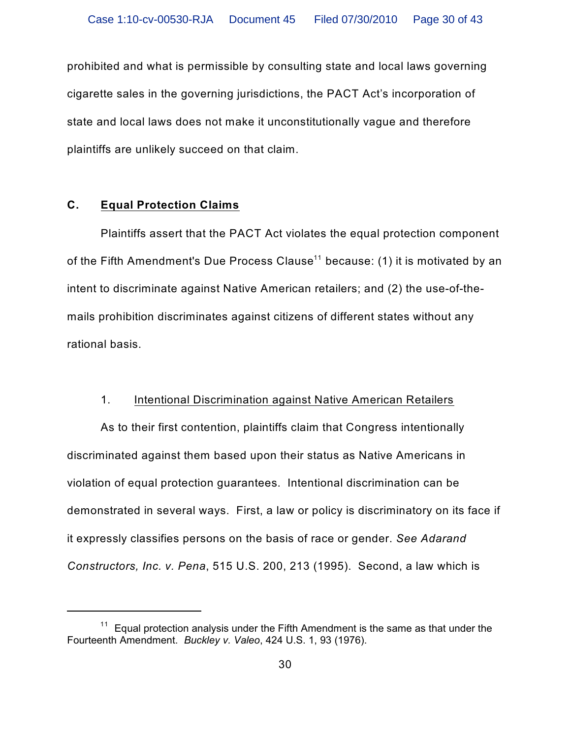prohibited and what is permissible by consulting state and local laws governing cigarette sales in the governing jurisdictions, the PACT Act's incorporation of state and local laws does not make it unconstitutionally vague and therefore plaintiffs are unlikely succeed on that claim.

## **C. Equal Protection Claims**

Plaintiffs assert that the PACT Act violates the equal protection component of the Fifth Amendment's Due Process Clause $^{\rm 11}$  because: (1) it is motivated by an intent to discriminate against Native American retailers; and (2) the use-of-themails prohibition discriminates against citizens of different states without any rational basis.

## 1. Intentional Discrimination against Native American Retailers

As to their first contention, plaintiffs claim that Congress intentionally discriminated against them based upon their status as Native Americans in violation of equal protection guarantees. Intentional discrimination can be demonstrated in several ways. First, a law or policy is discriminatory on its face if it expressly classifies persons on the basis of race or gender. *See Adarand Constructors, Inc. v. Pena*, 515 U.S. 200, 213 (1995). Second, a law which is

 $11$  Equal protection analysis under the Fifth Amendment is the same as that under the Fourteenth Amendment. *Buckley v. Valeo*, 424 U.S. 1, 93 (1976).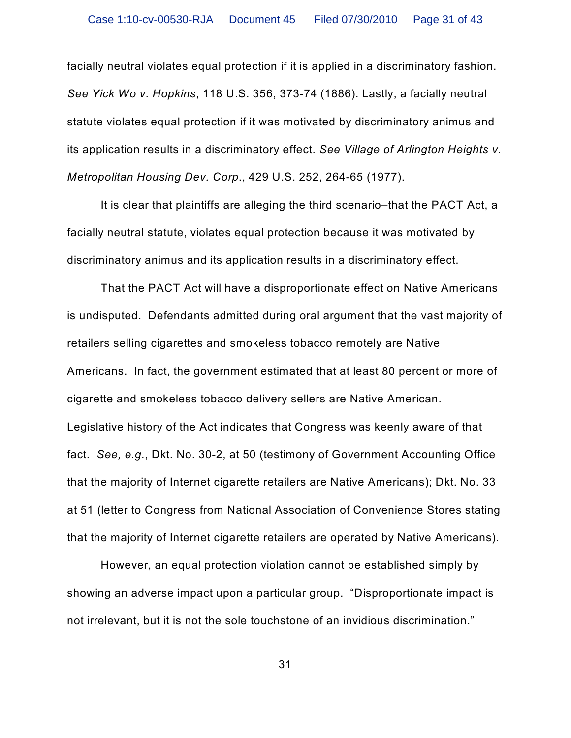facially neutral violates equal protection if it is applied in a discriminatory fashion. *See Yick Wo v. Hopkins*, 118 U.S. 356, 373-74 (1886). Lastly, a facially neutral statute violates equal protection if it was motivated by discriminatory animus and its application results in a discriminatory effect. *See Village of Arlington Heights v. Metropolitan Housing Dev. Corp*., 429 U.S. 252, 264-65 (1977).

It is clear that plaintiffs are alleging the third scenario–that the PACT Act, a facially neutral statute, violates equal protection because it was motivated by discriminatory animus and its application results in a discriminatory effect.

That the PACT Act will have a disproportionate effect on Native Americans is undisputed. Defendants admitted during oral argument that the vast majority of retailers selling cigarettes and smokeless tobacco remotely are Native Americans. In fact, the government estimated that at least 80 percent or more of cigarette and smokeless tobacco delivery sellers are Native American. Legislative history of the Act indicates that Congress was keenly aware of that fact. *See, e.g.*, Dkt. No. 30-2, at 50 (testimony of Government Accounting Office that the majority of Internet cigarette retailers are Native Americans); Dkt. No. 33 at 51 (letter to Congress from National Association of Convenience Stores stating that the majority of Internet cigarette retailers are operated by Native Americans).

However, an equal protection violation cannot be established simply by showing an adverse impact upon a particular group. "Disproportionate impact is not irrelevant, but it is not the sole touchstone of an invidious discrimination."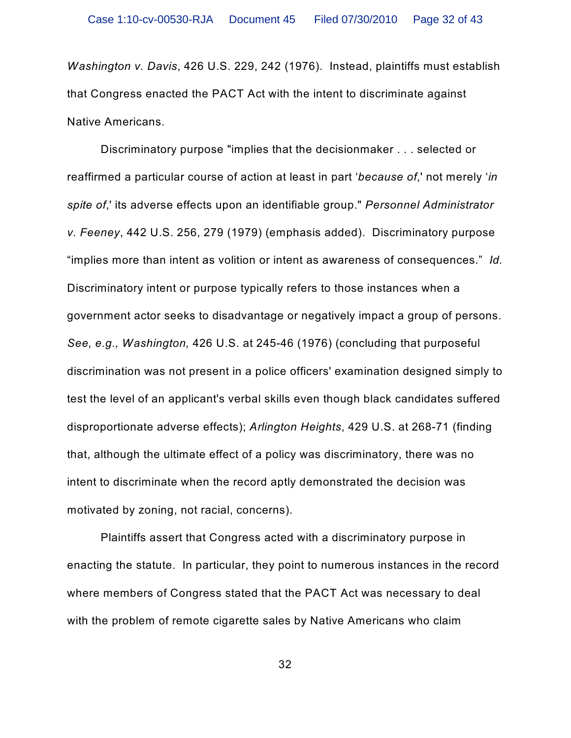*Washington v. Davis*, 426 U.S. 229, 242 (1976). Instead, plaintiffs must establish that Congress enacted the PACT Act with the intent to discriminate against Native Americans.

Discriminatory purpose "implies that the decisionmaker . . . selected or reaffirmed a particular course of action at least in part '*because of*,' not merely '*in spite of*,' its adverse effects upon an identifiable group." *Personnel Administrator v. Feeney*, 442 U.S. 256, 279 (1979) (emphasis added). Discriminatory purpose "implies more than intent as volition or intent as awareness of consequences." *Id.* Discriminatory intent or purpose typically refers to those instances when a government actor seeks to disadvantage or negatively impact a group of persons. *See, e.g., Washington,* 426 U.S. at 245-46 (1976) (concluding that purposeful discrimination was not present in a police officers' examination designed simply to test the level of an applicant's verbal skills even though black candidates suffered disproportionate adverse effects); *Arlington Heights*, 429 U.S. at 268-71 (finding that, although the ultimate effect of a policy was discriminatory, there was no intent to discriminate when the record aptly demonstrated the decision was motivated by zoning, not racial, concerns).

Plaintiffs assert that Congress acted with a discriminatory purpose in enacting the statute. In particular, they point to numerous instances in the record where members of Congress stated that the PACT Act was necessary to deal with the problem of remote cigarette sales by Native Americans who claim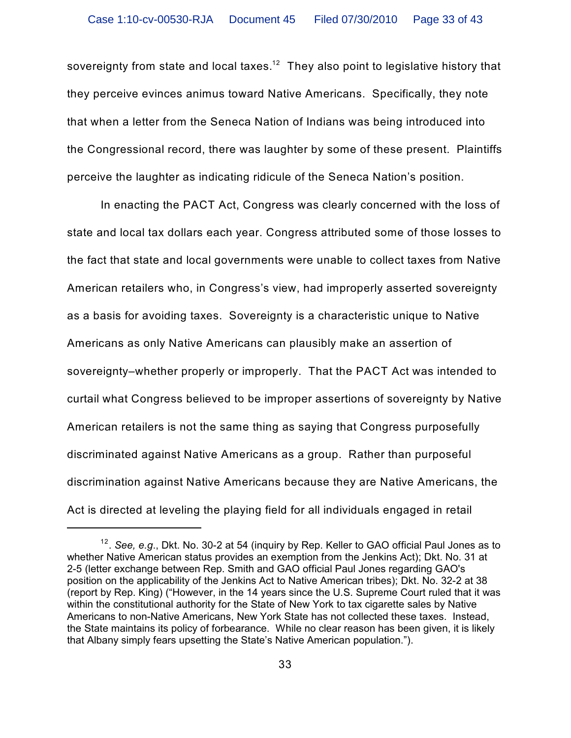sovereignty from state and local taxes. $^{\mathsf{12}}\,$  They also point to legislative history that they perceive evinces animus toward Native Americans. Specifically, they note that when a letter from the Seneca Nation of Indians was being introduced into the Congressional record, there was laughter by some of these present. Plaintiffs perceive the laughter as indicating ridicule of the Seneca Nation's position.

In enacting the PACT Act, Congress was clearly concerned with the loss of state and local tax dollars each year. Congress attributed some of those losses to the fact that state and local governments were unable to collect taxes from Native American retailers who, in Congress's view, had improperly asserted sovereignty as a basis for avoiding taxes. Sovereignty is a characteristic unique to Native Americans as only Native Americans can plausibly make an assertion of sovereignty–whether properly or improperly. That the PACT Act was intended to curtail what Congress believed to be improper assertions of sovereignty by Native American retailers is not the same thing as saying that Congress purposefully discriminated against Native Americans as a group. Rather than purposeful discrimination against Native Americans because they are Native Americans, the Act is directed at leveling the playing field for all individuals engaged in retail

<sup>&</sup>lt;sup>12</sup>. See, e.g., Dkt. No. 30-2 at 54 (inquiry by Rep. Keller to GAO official Paul Jones as to whether Native American status provides an exemption from the Jenkins Act); Dkt. No. 31 at 2-5 (letter exchange between Rep. Smith and GAO official Paul Jones regarding GAO's position on the applicability of the Jenkins Act to Native American tribes); Dkt. No. 32-2 at 38 (report by Rep. King) ("However, in the 14 years since the U.S. Supreme Court ruled that it was within the constitutional authority for the State of New York to tax cigarette sales by Native Americans to non-Native Americans, New York State has not collected these taxes. Instead, the State maintains its policy of forbearance. While no clear reason has been given, it is likely that Albany simply fears upsetting the State's Native American population.").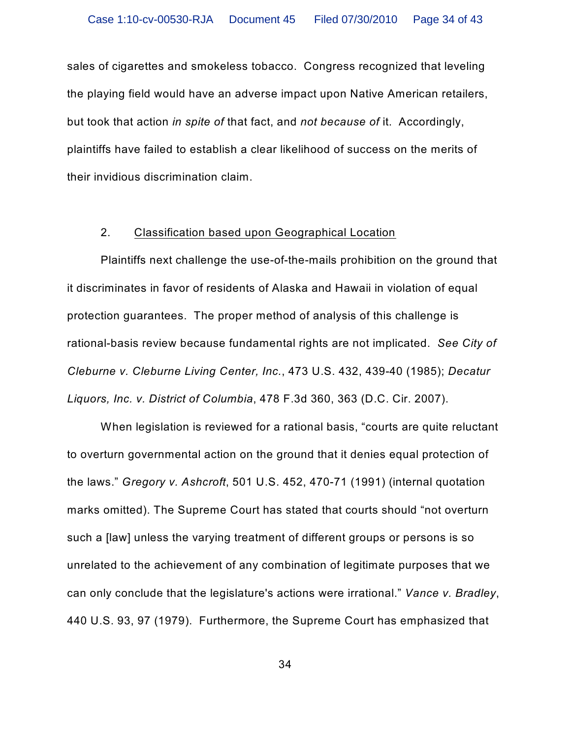sales of cigarettes and smokeless tobacco. Congress recognized that leveling the playing field would have an adverse impact upon Native American retailers, but took that action *in spite of* that fact, and *not because of* it. Accordingly, plaintiffs have failed to establish a clear likelihood of success on the merits of their invidious discrimination claim.

### 2. Classification based upon Geographical Location

Plaintiffs next challenge the use-of-the-mails prohibition on the ground that it discriminates in favor of residents of Alaska and Hawaii in violation of equal protection guarantees. The proper method of analysis of this challenge is rational-basis review because fundamental rights are not implicated. *See City of Cleburne v. Cleburne Living Center, Inc.*, 473 U.S. 432, 439-40 (1985); *Decatur Liquors, Inc. v. District of Columbia*, 478 F.3d 360, 363 (D.C. Cir. 2007).

When legislation is reviewed for a rational basis, "courts are quite reluctant to overturn governmental action on the ground that it denies equal protection of the laws." *Gregory v. Ashcroft*, 501 U.S. 452, 470-71 (1991) (internal quotation marks omitted). The Supreme Court has stated that courts should "not overturn such a [law] unless the varying treatment of different groups or persons is so unrelated to the achievement of any combination of legitimate purposes that we can only conclude that the legislature's actions were irrational." *Vance v. Bradley*, 440 U.S. 93, 97 (1979). Furthermore, the Supreme Court has emphasized that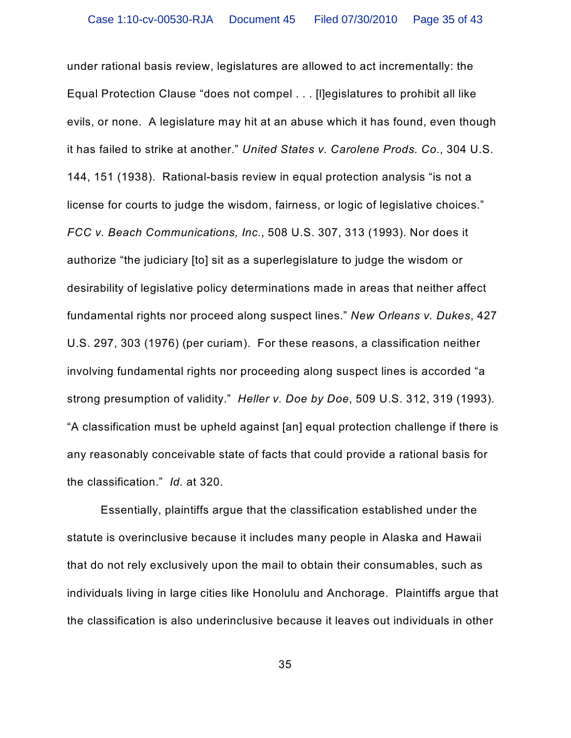under rational basis review, legislatures are allowed to act incrementally: the Equal Protection Clause "does not compel . . . [l]egislatures to prohibit all like evils, or none. A legislature may hit at an abuse which it has found, even though it has failed to strike at another." *United States v. Carolene Prods. Co.*, 304 U.S. 144, 151 (1938). Rational-basis review in equal protection analysis "is not a license for courts to judge the wisdom, fairness, or logic of legislative choices." *FCC v. Beach Communications, Inc.*, 508 U.S. 307, 313 (1993). Nor does it authorize "the judiciary [to] sit as a superlegislature to judge the wisdom or desirability of legislative policy determinations made in areas that neither affect fundamental rights nor proceed along suspect lines." *New Orleans v. Dukes*, 427 U.S. 297, 303 (1976) (per curiam). For these reasons, a classification neither involving fundamental rights nor proceeding along suspect lines is accorded "a strong presumption of validity." *Heller v. Doe by Doe*, 509 U.S. 312, 319 (1993). "A classification must be upheld against [an] equal protection challenge if there is any reasonably conceivable state of facts that could provide a rational basis for the classification." *Id.* at 320.

Essentially, plaintiffs argue that the classification established under the statute is overinclusive because it includes many people in Alaska and Hawaii that do not rely exclusively upon the mail to obtain their consumables, such as individuals living in large cities like Honolulu and Anchorage. Plaintiffs argue that the classification is also underinclusive because it leaves out individuals in other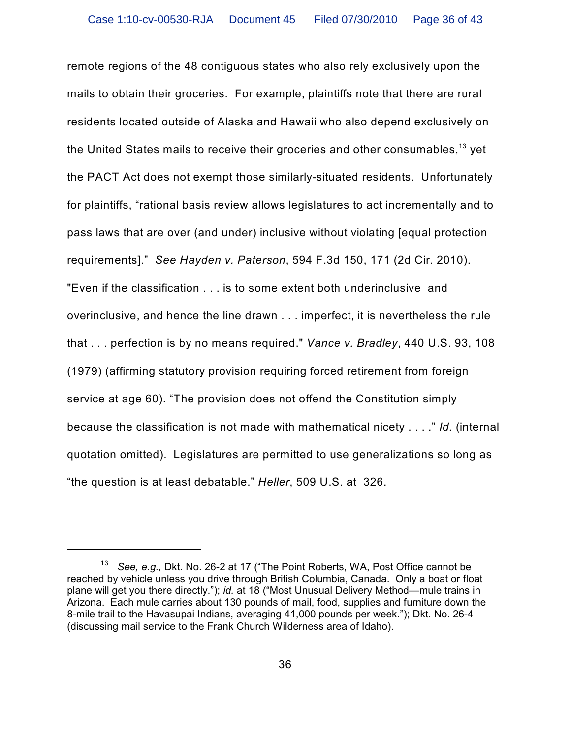remote regions of the 48 contiguous states who also rely exclusively upon the mails to obtain their groceries. For example, plaintiffs note that there are rural residents located outside of Alaska and Hawaii who also depend exclusively on the United States mails to receive their groceries and other consumables, $^{\rm 13}$  yet the PACT Act does not exempt those similarly-situated residents. Unfortunately for plaintiffs, "rational basis review allows legislatures to act incrementally and to pass laws that are over (and under) inclusive without violating [equal protection requirements]." *See Hayden v. Paterson*, 594 F.3d 150, 171 (2d Cir. 2010). "Even if the classification . . . is to some extent both underinclusive and overinclusive, and hence the line drawn . . . imperfect, it is nevertheless the rule that . . . perfection is by no means required." *Vance v. Bradley*, 440 U.S. 93, 108 (1979) (affirming statutory provision requiring forced retirement from foreign service at age 60). "The provision does not offend the Constitution simply because the classification is not made with mathematical nicety . . . ." *Id.* (internal quotation omitted). Legislatures are permitted to use generalizations so long as "the question is at least debatable." *Heller*, 509 U.S. at 326.

<sup>&</sup>lt;sup>13</sup> See, e.g., Dkt. No. 26-2 at 17 ("The Point Roberts, WA, Post Office cannot be reached by vehicle unless you drive through British Columbia, Canada. Only a boat or float plane will get you there directly."); *id.* at 18 ("Most Unusual Delivery Method—mule trains in Arizona. Each mule carries about 130 pounds of mail, food, supplies and furniture down the 8-mile trail to the Havasupai Indians, averaging 41,000 pounds per week."); Dkt. No. 26-4 (discussing mail service to the Frank Church Wilderness area of Idaho).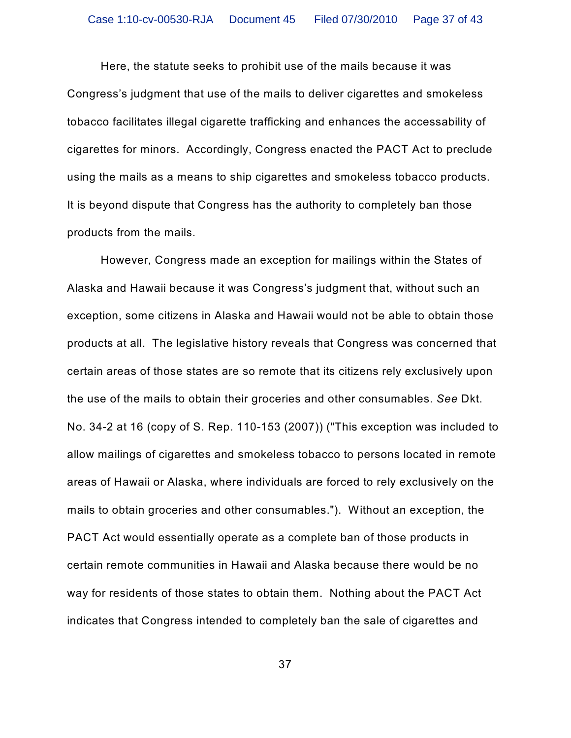Here, the statute seeks to prohibit use of the mails because it was Congress's judgment that use of the mails to deliver cigarettes and smokeless tobacco facilitates illegal cigarette trafficking and enhances the accessability of cigarettes for minors. Accordingly, Congress enacted the PACT Act to preclude using the mails as a means to ship cigarettes and smokeless tobacco products. It is beyond dispute that Congress has the authority to completely ban those products from the mails.

However, Congress made an exception for mailings within the States of Alaska and Hawaii because it was Congress's judgment that, without such an exception, some citizens in Alaska and Hawaii would not be able to obtain those products at all. The legislative history reveals that Congress was concerned that certain areas of those states are so remote that its citizens rely exclusively upon the use of the mails to obtain their groceries and other consumables. *See* Dkt. No. 34-2 at 16 (copy of S. Rep. 110-153 (2007)) ("This exception was included to allow mailings of cigarettes and smokeless tobacco to persons located in remote areas of Hawaii or Alaska, where individuals are forced to rely exclusively on the mails to obtain groceries and other consumables."). Without an exception, the PACT Act would essentially operate as a complete ban of those products in certain remote communities in Hawaii and Alaska because there would be no way for residents of those states to obtain them. Nothing about the PACT Act indicates that Congress intended to completely ban the sale of cigarettes and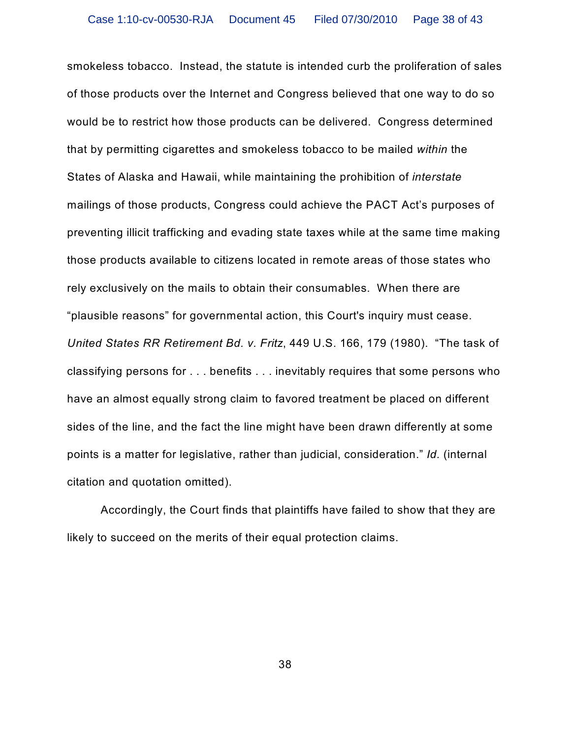smokeless tobacco. Instead, the statute is intended curb the proliferation of sales of those products over the Internet and Congress believed that one way to do so would be to restrict how those products can be delivered. Congress determined that by permitting cigarettes and smokeless tobacco to be mailed *within* the States of Alaska and Hawaii, while maintaining the prohibition of *interstate* mailings of those products, Congress could achieve the PACT Act's purposes of preventing illicit trafficking and evading state taxes while at the same time making those products available to citizens located in remote areas of those states who rely exclusively on the mails to obtain their consumables. When there are "plausible reasons" for governmental action, this Court's inquiry must cease. *United States RR Retirement Bd. v. Fritz*, 449 U.S. 166, 179 (1980). "The task of classifying persons for . . . benefits . . . inevitably requires that some persons who have an almost equally strong claim to favored treatment be placed on different sides of the line, and the fact the line might have been drawn differently at some points is a matter for legislative, rather than judicial, consideration." *Id.* (internal citation and quotation omitted).

Accordingly, the Court finds that plaintiffs have failed to show that they are likely to succeed on the merits of their equal protection claims.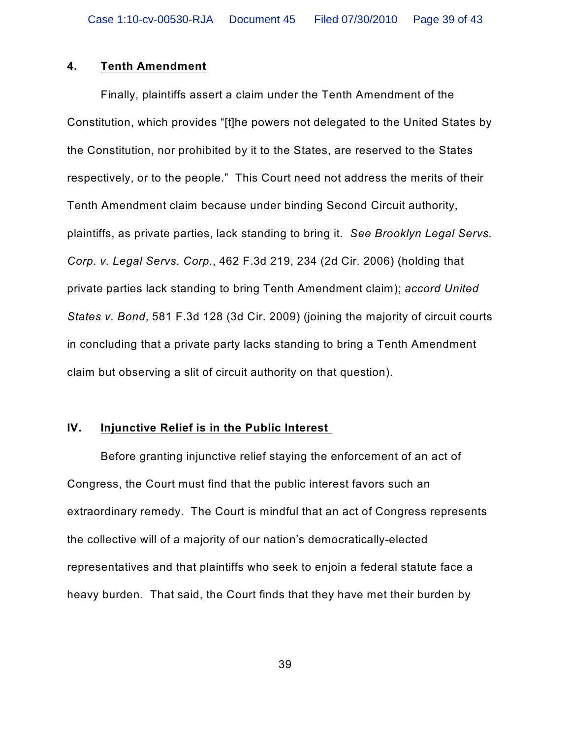### **4. Tenth Amendment**

Finally, plaintiffs assert a claim under the Tenth Amendment of the Constitution, which provides "[t]he powers not delegated to the United States by the Constitution, nor prohibited by it to the States, are reserved to the States respectively, or to the people." This Court need not address the merits of their Tenth Amendment claim because under binding Second Circuit authority, plaintiffs, as private parties, lack standing to bring it. *See Brooklyn Legal Servs. Corp. v. Legal Servs. Corp.*, 462 F.3d 219, 234 (2d Cir. 2006) (holding that private parties lack standing to bring Tenth Amendment claim); *accord United States v. Bond*, 581 F.3d 128 (3d Cir. 2009) (joining the majority of circuit courts in concluding that a private party lacks standing to bring a Tenth Amendment claim but observing a slit of circuit authority on that question).

# **IV. Injunctive Relief is in the Public Interest**

Before granting injunctive relief staying the enforcement of an act of Congress, the Court must find that the public interest favors such an extraordinary remedy. The Court is mindful that an act of Congress represents the collective will of a majority of our nation's democratically-elected representatives and that plaintiffs who seek to enjoin a federal statute face a heavy burden. That said, the Court finds that they have met their burden by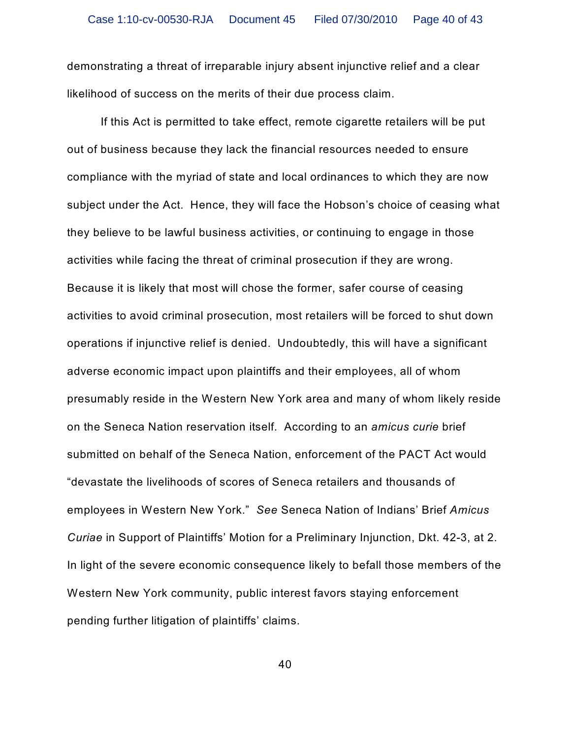demonstrating a threat of irreparable injury absent injunctive relief and a clear likelihood of success on the merits of their due process claim.

If this Act is permitted to take effect, remote cigarette retailers will be put out of business because they lack the financial resources needed to ensure compliance with the myriad of state and local ordinances to which they are now subject under the Act. Hence, they will face the Hobson's choice of ceasing what they believe to be lawful business activities, or continuing to engage in those activities while facing the threat of criminal prosecution if they are wrong. Because it is likely that most will chose the former, safer course of ceasing activities to avoid criminal prosecution, most retailers will be forced to shut down operations if injunctive relief is denied. Undoubtedly, this will have a significant adverse economic impact upon plaintiffs and their employees, all of whom presumably reside in the Western New York area and many of whom likely reside on the Seneca Nation reservation itself. According to an *amicus curie* brief submitted on behalf of the Seneca Nation, enforcement of the PACT Act would "devastate the livelihoods of scores of Seneca retailers and thousands of employees in Western New York." *See* Seneca Nation of Indians' Brief *Amicus Curiae* in Support of Plaintiffs' Motion for a Preliminary Injunction, Dkt. 42-3, at 2. In light of the severe economic consequence likely to befall those members of the Western New York community, public interest favors staying enforcement pending further litigation of plaintiffs' claims.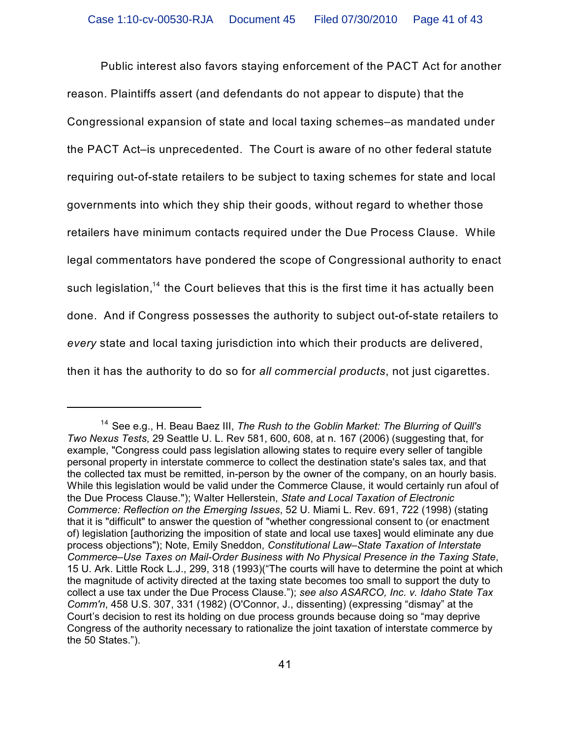Public interest also favors staying enforcement of the PACT Act for another reason. Plaintiffs assert (and defendants do not appear to dispute) that the Congressional expansion of state and local taxing schemes–as mandated under the PACT Act–is unprecedented. The Court is aware of no other federal statute requiring out-of-state retailers to be subject to taxing schemes for state and local governments into which they ship their goods, without regard to whether those retailers have minimum contacts required under the Due Process Clause. While legal commentators have pondered the scope of Congressional authority to enact such legislation, $^{\text{14}}$  the Court believes that this is the first time it has actually been done. And if Congress possesses the authority to subject out-of-state retailers to *every* state and local taxing jurisdiction into which their products are delivered, then it has the authority to do so for *all commercial products*, not just cigarettes.

<sup>&</sup>lt;sup>14</sup> See e.g., H. Beau Baez III, The Rush to the Goblin Market: The Blurring of Quill's *Two Nexus Tests*, 29 Seattle U. L. Rev 581, 600, 608, at n. 167 (2006) (suggesting that, for example, "Congress could pass legislation allowing states to require every seller of tangible personal property in interstate commerce to collect the destination state's sales tax, and that the collected tax must be remitted, in-person by the owner of the company, on an hourly basis. While this legislation would be valid under the Commerce Clause, it would certainly run afoul of the Due Process Clause."); Walter Hellerstein, *State and Local Taxation of Electronic Commerce: Reflection on the Emerging Issues*, 52 U. Miami L. Rev. 691, 722 (1998) (stating that it is "difficult" to answer the question of "whether congressional consent to (or enactment of) legislation [authorizing the imposition of state and local use taxes] would eliminate any due process objections"); Note, Emily Sneddon, *Constitutional Law–State Taxation of Interstate Commerce–Use Taxes on Mail-Order Business with No Physical Presence in the Taxing State*, 15 U. Ark. Little Rock L.J., 299, 318 (1993)("The courts will have to determine the point at which the magnitude of activity directed at the taxing state becomes too small to support the duty to collect a use tax under the Due Process Clause."); *see also ASARCO, Inc. v. Idaho State Tax Comm'n*, 458 U.S. 307, 331 (1982) (O'Connor, J., dissenting) (expressing "dismay" at the Court's decision to rest its holding on due process grounds because doing so "may deprive Congress of the authority necessary to rationalize the joint taxation of interstate commerce by the 50 States.").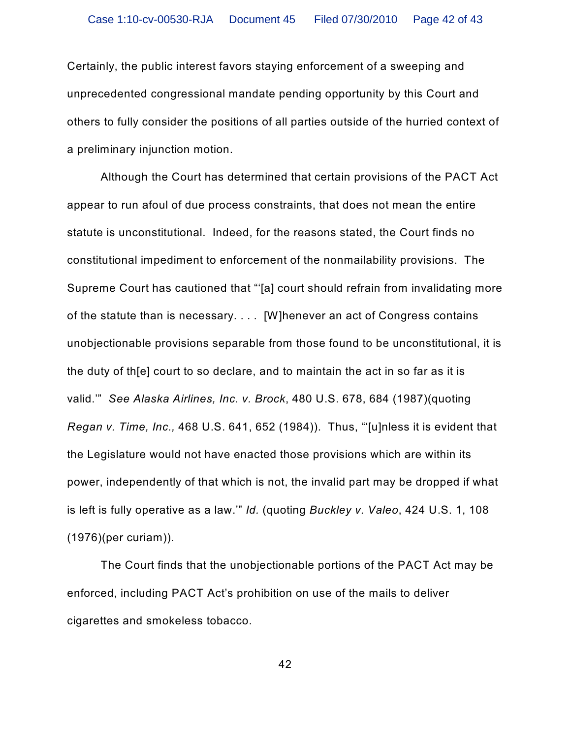Certainly, the public interest favors staying enforcement of a sweeping and unprecedented congressional mandate pending opportunity by this Court and others to fully consider the positions of all parties outside of the hurried context of a preliminary injunction motion.

Although the Court has determined that certain provisions of the PACT Act appear to run afoul of due process constraints, that does not mean the entire statute is unconstitutional. Indeed, for the reasons stated, the Court finds no constitutional impediment to enforcement of the nonmailability provisions. The Supreme Court has cautioned that "'[a] court should refrain from invalidating more of the statute than is necessary. . . . [W]henever an act of Congress contains unobjectionable provisions separable from those found to be unconstitutional, it is the duty of th[e] court to so declare, and to maintain the act in so far as it is valid.'" *See Alaska Airlines, Inc. v. Brock*, 480 U.S. 678, 684 (1987)(quoting *Regan v. Time, Inc.,* 468 U.S. 641, 652 (1984)). Thus, "'[u]nless it is evident that the Legislature would not have enacted those provisions which are within its power, independently of that which is not, the invalid part may be dropped if what is left is fully operative as a law.'" *Id.* (quoting *Buckley v. Valeo*, 424 U.S. 1, 108 (1976)(per curiam)).

The Court finds that the unobjectionable portions of the PACT Act may be enforced, including PACT Act's prohibition on use of the mails to deliver cigarettes and smokeless tobacco.